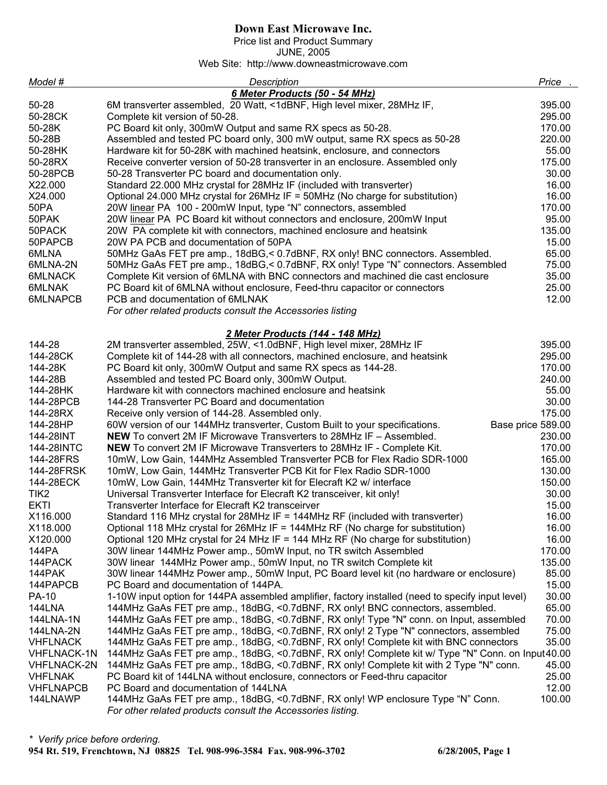Price list and Product Summary

JUNE, 2005

| Model #            | Description                                                                                       | Price  |
|--------------------|---------------------------------------------------------------------------------------------------|--------|
|                    | 6 Meter Products (50 - 54 MHz)                                                                    |        |
| 50-28              | 6M transverter assembled, 20 Watt, <1dBNF, High level mixer, 28MHz IF,                            | 395.00 |
| 50-28CK            | Complete kit version of 50-28.                                                                    | 295.00 |
| 50-28K             | PC Board kit only, 300mW Output and same RX specs as 50-28.                                       | 170.00 |
| 50-28B             | Assembled and tested PC board only, 300 mW output, same RX specs as 50-28                         | 220.00 |
| 50-28HK            | Hardware kit for 50-28K with machined heatsink, enclosure, and connectors                         | 55.00  |
| 50-28RX            | Receive converter version of 50-28 transverter in an enclosure. Assembled only                    | 175.00 |
| 50-28PCB           | 50-28 Transverter PC board and documentation only.                                                | 30.00  |
| X22.000            | Standard 22.000 MHz crystal for 28MHz IF (included with transverter)                              | 16.00  |
| X24.000            | Optional 24.000 MHz crystal for 26MHz IF = 50MHz (No charge for substitution)                     | 16.00  |
| 50PA               | 20W linear PA 100 - 200mW Input, type "N" connectors, assembled                                   | 170.00 |
| 50PAK              | 20W linear PA PC Board kit without connectors and enclosure, 200mW Input                          | 95.00  |
| 50PACK             | 20W PA complete kit with connectors, machined enclosure and heatsink                              | 135.00 |
| 50PAPCB            | 20W PA PCB and documentation of 50PA                                                              | 15.00  |
| 6MLNA              | 50MHz GaAs FET pre amp., 18dBG,< 0.7dBNF, RX only! BNC connectors. Assembled.                     | 65.00  |
| 6MLNA-2N           | 50MHz GaAs FET pre amp., 18dBG,< 0.7dBNF, RX only! Type "N" connectors. Assembled                 | 75.00  |
| 6MLNACK            | Complete Kit version of 6MLNA with BNC connectors and machined die cast enclosure                 | 35.00  |
| 6MLNAK             | PC Board kit of 6MLNA without enclosure, Feed-thru capacitor or connectors                        | 25.00  |
| 6MLNAPCB           | PCB and documentation of 6MLNAK                                                                   | 12.00  |
|                    | For other related products consult the Accessories listing                                        |        |
|                    |                                                                                                   |        |
|                    | 2 Meter Products (144 - 148 MHz)                                                                  |        |
| 144-28             | 2M transverter assembled, 25W, <1.0dBNF, High level mixer, 28MHz IF                               | 395.00 |
| 144-28CK           | Complete kit of 144-28 with all connectors, machined enclosure, and heatsink                      | 295.00 |
| 144-28K            | PC Board kit only, 300mW Output and same RX specs as 144-28.                                      | 170.00 |
| 144-28B            | Assembled and tested PC Board only, 300mW Output.                                                 | 240.00 |
| 144-28HK           | Hardware kit with connectors machined enclosure and heatsink                                      | 55.00  |
| 144-28PCB          | 144-28 Transverter PC Board and documentation                                                     | 30.00  |
| 144-28RX           | Receive only version of 144-28. Assembled only.                                                   | 175.00 |
| 144-28HP           | Base price 589.00<br>60W version of our 144MHz transverter, Custom Built to your specifications.  |        |
| 144-28INT          | <b>NEW</b> To convert 2M IF Microwave Transverters to 28MHz IF - Assembled.                       | 230.00 |
| 144-28INTC         | NEW To convert 2M IF Microwave Transverters to 28MHz IF - Complete Kit.                           | 170.00 |
| 144-28FRS          | 10mW, Low Gain, 144MHz Assembled Transverter PCB for Flex Radio SDR-1000                          | 165.00 |
| 144-28FRSK         | 10mW, Low Gain, 144MHz Transverter PCB Kit for Flex Radio SDR-1000                                | 130.00 |
| 144-28ECK          | 10mW, Low Gain, 144MHz Transverter kit for Elecraft K2 w/ interface                               | 150.00 |
| TIK <sub>2</sub>   | Universal Transverter Interface for Elecraft K2 transceiver, kit only!                            | 30.00  |
| <b>EKTI</b>        | Transverter Interface for Elecraft K2 transceirver                                                | 15.00  |
| X116.000           | Standard 116 MHz crystal for 28MHz IF = 144MHz RF (included with transverter)                     | 16.00  |
| X118.000           | Optional 118 MHz crystal for 26MHz IF = 144MHz RF (No charge for substitution)                    | 16.00  |
| X120.000           | Optional 120 MHz crystal for 24 MHz IF = 144 MHz RF (No charge for substitution)                  | 16.00  |
| 144PA              | 30W linear 144MHz Power amp., 50mW Input, no TR switch Assembled                                  | 170.00 |
| 144PACK            | 30W linear 144MHz Power amp., 50mW Input, no TR switch Complete kit                               | 135.00 |
| 144PAK             | 30W linear 144MHz Power amp., 50mW Input, PC Board level kit (no hardware or enclosure)           | 85.00  |
| 144PAPCB           | PC Board and documentation of 144PA.                                                              | 15.00  |
| PA-10              | 1-10W input option for 144PA assembled amplifier, factory installed (need to specify input level) | 30.00  |
| 144LNA             | 144MHz GaAs FET pre amp., 18dBG, <0.7dBNF, RX only! BNC connectors, assembled.                    | 65.00  |
| 144LNA-1N          | 144MHz GaAs FET pre amp., 18dBG, <0.7dBNF, RX only! Type "N" conn. on Input, assembled            | 70.00  |
| 144LNA-2N          | 144MHz GaAs FET pre amp., 18dBG, <0.7dBNF, RX only! 2 Type "N" connectors, assembled              | 75.00  |
| <b>VHFLNACK</b>    | 144MHz GaAs FET pre amp., 18dBG, <0.7dBNF, RX only! Complete kit with BNC connectors              | 35.00  |
| <b>VHFLNACK-1N</b> | 144MHz GaAs FET pre amp., 18dBG, <0.7dBNF, RX only! Complete kit w/ Type "N" Conn. on Input40.00  |        |
| <b>VHFLNACK-2N</b> | 144MHz GaAs FET pre amp., 18dBG, <0.7dBNF, RX only! Complete kit with 2 Type "N" conn.            | 45.00  |
| <b>VHFLNAK</b>     | PC Board kit of 144LNA without enclosure, connectors or Feed-thru capacitor                       | 25.00  |
| <b>VHFLNAPCB</b>   | PC Board and documentation of 144LNA                                                              | 12.00  |
| 144LNAWP           | 144MHz GaAs FET pre amp., 18dBG, <0.7dBNF, RX only! WP enclosure Type "N" Conn.                   | 100.00 |
|                    | For other related products consult the Accessories listing.                                       |        |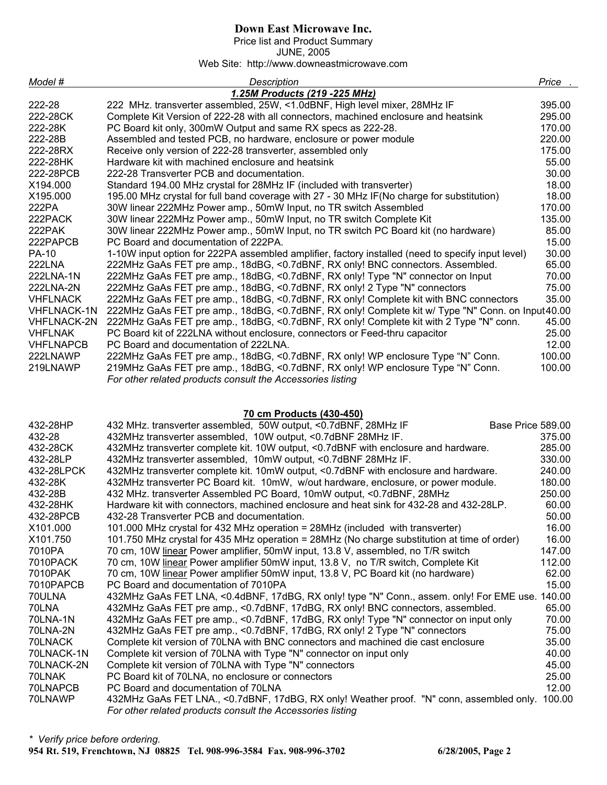Price list and Product Summary

JUNE, 2005

Web Site: http://www.downeastmicrowave.com

| Model #            | Description                                                                                       | Price. |
|--------------------|---------------------------------------------------------------------------------------------------|--------|
|                    | 1.25M Products (219 - 225 MHz)                                                                    |        |
| 222-28             | 222 MHz. transverter assembled, 25W, <1.0dBNF, High level mixer, 28MHz IF                         | 395.00 |
| 222-28CK           | Complete Kit Version of 222-28 with all connectors, machined enclosure and heatsink               | 295.00 |
| 222-28K            | PC Board kit only, 300mW Output and same RX specs as 222-28.                                      | 170.00 |
| 222-28B            | Assembled and tested PCB, no hardware, enclosure or power module                                  | 220.00 |
| 222-28RX           | Receive only version of 222-28 transverter, assembled only                                        | 175.00 |
| 222-28HK           | Hardware kit with machined enclosure and heatsink                                                 | 55.00  |
| 222-28PCB          | 222-28 Transverter PCB and documentation.                                                         | 30.00  |
| X194.000           | Standard 194.00 MHz crystal for 28MHz IF (included with transverter)                              | 18.00  |
| X195.000           | 195.00 MHz crystal for full band coverage with 27 - 30 MHz IF(No charge for substitution)         | 18.00  |
| 222PA              | 30W linear 222MHz Power amp., 50mW Input, no TR switch Assembled                                  | 170.00 |
| 222PACK            | 30W linear 222MHz Power amp., 50mW Input, no TR switch Complete Kit                               | 135.00 |
| 222PAK             | 30W linear 222MHz Power amp., 50mW Input, no TR switch PC Board kit (no hardware)                 | 85.00  |
| 222PAPCB           | PC Board and documentation of 222PA.                                                              | 15.00  |
| <b>PA-10</b>       | 1-10W input option for 222PA assembled amplifier, factory installed (need to specify input level) | 30.00  |
| 222LNA             | 222MHz GaAs FET pre amp., 18dBG, <0.7dBNF, RX only! BNC connectors. Assembled.                    | 65.00  |
| 222LNA-1N          | 222MHz GaAs FET pre amp., 18dBG, <0.7dBNF, RX only! Type "N" connector on Input                   | 70.00  |
| 222LNA-2N          | 222MHz GaAs FET pre amp., 18dBG, <0.7dBNF, RX only! 2 Type "N" connectors                         | 75.00  |
| <b>VHFLNACK</b>    | 222MHz GaAs FET pre amp., 18dBG, <0.7dBNF, RX only! Complete kit with BNC connectors              | 35.00  |
| <b>VHFLNACK-1N</b> | 222MHz GaAs FET pre amp., 18dBG, <0.7dBNF, RX only! Complete kit w/ Type "N" Conn. on Input 40.00 |        |
| <b>VHFLNACK-2N</b> | 222MHz GaAs FET pre amp., 18dBG, <0.7dBNF, RX only! Complete kit with 2 Type "N" conn.            | 45.00  |
| <b>VHFLNAK</b>     | PC Board kit of 222LNA without enclosure, connectors or Feed-thru capacitor                       | 25.00  |
| <b>VHFLNAPCB</b>   | PC Board and documentation of 222LNA.                                                             | 12.00  |
| 222LNAWP           | 222MHz GaAs FET pre amp., 18dBG, <0.7dBNF, RX only! WP enclosure Type "N" Conn.                   | 100.00 |
| 219LNAWP           | 219MHz GaAs FET pre amp., 18dBG, <0.7dBNF, RX only! WP enclosure Type "N" Conn.                   | 100.00 |
|                    | For other related products consult the Accessories listing                                        |        |

#### **70 cm Products (430-450)**

| 432-28HP   | 432 MHz. transverter assembled, 50W output, <0.7dBNF, 28MHz IF                                                                                         | Base Price 589.00 |
|------------|--------------------------------------------------------------------------------------------------------------------------------------------------------|-------------------|
| 432-28     | 432MHz transverter assembled, 10W output, <0.7dBNF 28MHz IF.                                                                                           | 375.00            |
| 432-28CK   | 432MHz transverter complete kit. 10W output, <0.7dBNF with enclosure and hardware.                                                                     | 285.00            |
| 432-28LP   | 432MHz transverter assembled, 10mW output, <0.7dBNF 28MHz IF.                                                                                          | 330.00            |
| 432-28LPCK | 432MHz transverter complete kit. 10mW output, <0.7dBNF with enclosure and hardware.                                                                    | 240.00            |
| 432-28K    | 432MHz transverter PC Board kit. 10mW, w/out hardware, enclosure, or power module.                                                                     | 180.00            |
| 432-28B    | 432 MHz. transverter Assembled PC Board, 10mW output, <0.7dBNF, 28MHz                                                                                  | 250.00            |
| 432-28HK   | Hardware kit with connectors, machined enclosure and heat sink for 432-28 and 432-28LP.                                                                | 60.00             |
| 432-28PCB  | 432-28 Transverter PCB and documentation.                                                                                                              | 50.00             |
| X101.000   | 101.000 MHz crystal for 432 MHz operation = 28MHz (included with transverter)                                                                          | 16.00             |
| X101.750   | 101.750 MHz crystal for 435 MHz operation = 28MHz (No charge substitution at time of order)                                                            | 16.00             |
| 7010PA     | 70 cm, 10W linear Power amplifier, 50mW input, 13.8 V, assembled, no T/R switch                                                                        | 147.00            |
| 7010PACK   | 70 cm, 10W linear Power amplifier 50mW input, 13.8 V, no T/R switch, Complete Kit                                                                      | 112.00            |
| 7010PAK    | 70 cm, 10W linear Power amplifier 50mW input, 13.8 V, PC Board kit (no hardware)                                                                       | 62.00             |
| 7010PAPCB  | PC Board and documentation of 7010PA                                                                                                                   | 15.00             |
| 70ULNA     | 432MHz GaAs FET LNA, <0.4dBNF, 17dBG, RX only! type "N" Conn., assem. only! For EME use.                                                               | 140.00            |
| 70LNA      | 432MHz GaAs FET pre amp., <0.7dBNF, 17dBG, RX only! BNC connectors, assembled.                                                                         | 65.00             |
| 70LNA-1N   | 432MHz GaAs FET pre amp., <0.7dBNF, 17dBG, RX only! Type "N" connector on input only                                                                   | 70.00             |
| 70LNA-2N   | 432MHz GaAs FET pre amp., <0.7dBNF, 17dBG, RX only! 2 Type "N" connectors                                                                              | 75.00             |
| 70LNACK    | Complete kit version of 70LNA with BNC connectors and machined die cast enclosure                                                                      | 35.00             |
| 70LNACK-1N | Complete kit version of 70LNA with Type "N" connector on input only                                                                                    | 40.00             |
| 70LNACK-2N | Complete kit version of 70LNA with Type "N" connectors                                                                                                 | 45.00             |
| 70LNAK     | PC Board kit of 70LNA, no enclosure or connectors                                                                                                      | 25.00             |
| 70LNAPCB   | PC Board and documentation of 70LNA                                                                                                                    | 12.00             |
| 70LNAWP    | 432MHz GaAs FET LNA., <0.7dBNF, 17dBG, RX only! Weather proof. "N" conn, assembled only.<br>For other related products consult the Accessories listing | 100.00            |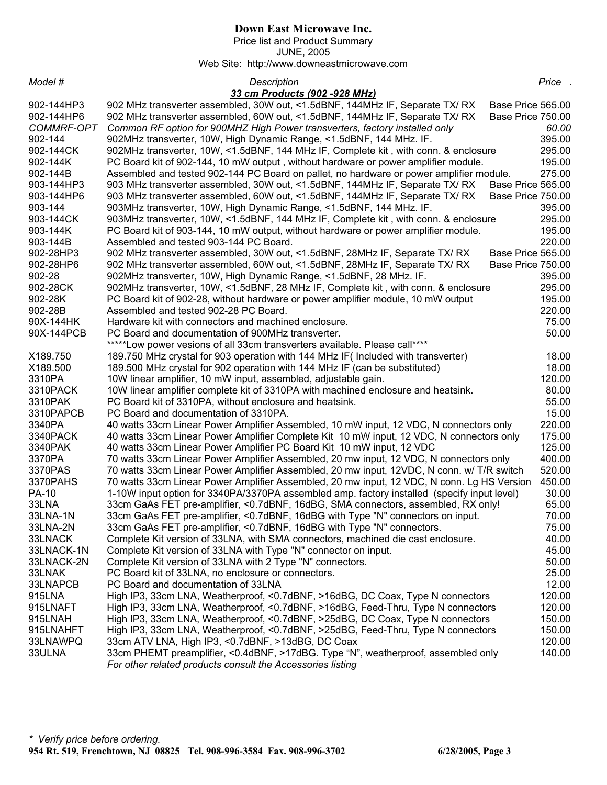Price list and Product Summary

JUNE, 2005 Web Site: http://www.downeastmicrowave.com

| Model #      | <b>Description</b>                                                                                                                              | Price             |
|--------------|-------------------------------------------------------------------------------------------------------------------------------------------------|-------------------|
|              | 33 cm Products (902 - 928 MHz)                                                                                                                  |                   |
| 902-144HP3   | 902 MHz transverter assembled, 30W out, <1.5dBNF, 144MHz IF, Separate TX/ RX                                                                    | Base Price 565.00 |
| 902-144HP6   | 902 MHz transverter assembled, 60W out, <1.5dBNF, 144MHz IF, Separate TX/RX                                                                     | Base Price 750.00 |
| COMMRF-OPT   | Common RF option for 900MHZ High Power transverters, factory installed only                                                                     | 60.00             |
| 902-144      | 902MHz transverter, 10W, High Dynamic Range, <1.5dBNF, 144 MHz. IF.                                                                             | 395.00            |
| 902-144CK    | 902MHz transverter, 10W, <1.5dBNF, 144 MHz IF, Complete kit, with conn. & enclosure                                                             | 295.00            |
| 902-144K     | PC Board kit of 902-144, 10 mW output, without hardware or power amplifier module.                                                              | 195.00            |
| 902-144B     | Assembled and tested 902-144 PC Board on pallet, no hardware or power amplifier module.                                                         | 275.00            |
| 903-144HP3   | 903 MHz transverter assembled, 30W out, <1.5dBNF, 144MHz IF, Separate TX/ RX                                                                    | Base Price 565.00 |
| 903-144HP6   | 903 MHz transverter assembled, 60W out, <1.5dBNF, 144MHz IF, Separate TX/ RX                                                                    | Base Price 750.00 |
| 903-144      | 903MHz transverter, 10W, High Dynamic Range, <1.5dBNF, 144 MHz. IF.                                                                             | 395.00            |
| 903-144CK    | 903MHz transverter, 10W, <1.5dBNF, 144 MHz IF, Complete kit, with conn. & enclosure                                                             | 295.00            |
| 903-144K     | PC Board kit of 903-144, 10 mW output, without hardware or power amplifier module.                                                              | 195.00            |
| 903-144B     | Assembled and tested 903-144 PC Board.                                                                                                          | 220.00            |
| 902-28HP3    | 902 MHz transverter assembled, 30W out, <1.5dBNF, 28MHz IF, Separate TX/ RX                                                                     | Base Price 565.00 |
| 902-28HP6    | 902 MHz transverter assembled, 60W out, <1.5dBNF, 28MHz IF, Separate TX/ RX                                                                     | Base Price 750.00 |
| 902-28       | 902MHz transverter, 10W, High Dynamic Range, <1.5dBNF, 28 MHz. IF.                                                                              | 395.00            |
| 902-28CK     | 902MHz transverter, 10W, <1.5dBNF, 28 MHz IF, Complete kit, with conn. & enclosure                                                              | 295.00            |
| 902-28K      | PC Board kit of 902-28, without hardware or power amplifier module, 10 mW output                                                                | 195.00            |
| 902-28B      | Assembled and tested 902-28 PC Board.                                                                                                           | 220.00            |
| 90X-144HK    | Hardware kit with connectors and machined enclosure.                                                                                            | 75.00             |
| 90X-144PCB   | PC Board and documentation of 900MHz transverter.                                                                                               | 50.00             |
|              | *****Low power vesions of all 33cm transverters available. Please call****                                                                      |                   |
| X189.750     | 189.750 MHz crystal for 903 operation with 144 MHz IF( Included with transverter)                                                               | 18.00             |
| X189.500     | 189.500 MHz crystal for 902 operation with 144 MHz IF (can be substituted)                                                                      | 18.00             |
| 3310PA       | 10W linear amplifier, 10 mW input, assembled, adjustable gain.                                                                                  | 120.00            |
| 3310PACK     | 10W linear amplifier complete kit of 3310PA with machined enclosure and heatsink.                                                               | 80.00             |
| 3310PAK      | PC Board kit of 3310PA, without enclosure and heatsink.                                                                                         | 55.00             |
| 3310PAPCB    | PC Board and documentation of 3310PA.                                                                                                           | 15.00             |
| 3340PA       | 40 watts 33cm Linear Power Amplifier Assembled, 10 mW input, 12 VDC, N connectors only                                                          | 220.00            |
| 3340PACK     | 40 watts 33cm Linear Power Amplifier Complete Kit 10 mW input, 12 VDC, N connectors only                                                        | 175.00            |
| 3340PAK      | 40 watts 33cm Linear Power Amplifier PC Board Kit 10 mW input, 12 VDC                                                                           | 125.00            |
| 3370PA       | 70 watts 33cm Linear Power Amplifier Assembled, 20 mw input, 12 VDC, N connectors only                                                          | 400.00            |
| 3370PAS      | 70 watts 33cm Linear Power Amplifier Assembled, 20 mw input, 12VDC, N conn. w/ T/R switch                                                       | 520.00            |
| 3370PAHS     | 70 watts 33cm Linear Power Amplifier Assembled, 20 mw input, 12 VDC, N conn. Lg HS Version                                                      | 450.00            |
| <b>PA-10</b> | 1-10W input option for 3340PA/3370PA assembled amp. factory installed (specify input level)                                                     | 30.00             |
| 33LNA        | 33cm GaAs FET pre-amplifier, <0.7dBNF, 16dBG, SMA connectors, assembled, RX only!                                                               | 65.00             |
| 33LNA-1N     | 33cm GaAs FET pre-amplifier, <0.7dBNF, 16dBG with Type "N" connectors on input.                                                                 | 70.00             |
| 33LNA-2N     | 33cm GaAs FET pre-amplifier, <0.7dBNF, 16dBG with Type "N" connectors.                                                                          | 75.00             |
| 33LNACK      | Complete Kit version of 33LNA, with SMA connectors, machined die cast enclosure.                                                                | 40.00             |
| 33LNACK-1N   | Complete Kit version of 33LNA with Type "N" connector on input.                                                                                 | 45.00             |
| 33LNACK-2N   | Complete Kit version of 33LNA with 2 Type "N" connectors.                                                                                       | 50.00             |
| 33LNAK       | PC Board kit of 33LNA, no enclosure or connectors.                                                                                              | 25.00             |
| 33LNAPCB     | PC Board and documentation of 33LNA                                                                                                             | 12.00             |
| 915LNA       | High IP3, 33cm LNA, Weatherproof, <0.7dBNF, >16dBG, DC Coax, Type N connectors                                                                  | 120.00            |
| 915LNAFT     | High IP3, 33cm LNA, Weatherproof, <0.7dBNF, >16dBG, Feed-Thru, Type N connectors                                                                | 120.00            |
| 915LNAH      | High IP3, 33cm LNA, Weatherproof, <0.7dBNF, >25dBG, DC Coax, Type N connectors                                                                  | 150.00            |
| 915LNAHFT    | High IP3, 33cm LNA, Weatherproof, <0.7dBNF, >25dBG, Feed-Thru, Type N connectors                                                                | 150.00            |
| 33LNAWPQ     | 33cm ATV LNA, High IP3, <0.7dBNF, >13dBG, DC Coax                                                                                               | 120.00            |
| 33ULNA       | 33cm PHEMT preamplifier, <0.4dBNF, >17dBG. Type "N", weatherproof, assembled only<br>For other related products consult the Accessories listing | 140.00            |
|              |                                                                                                                                                 |                   |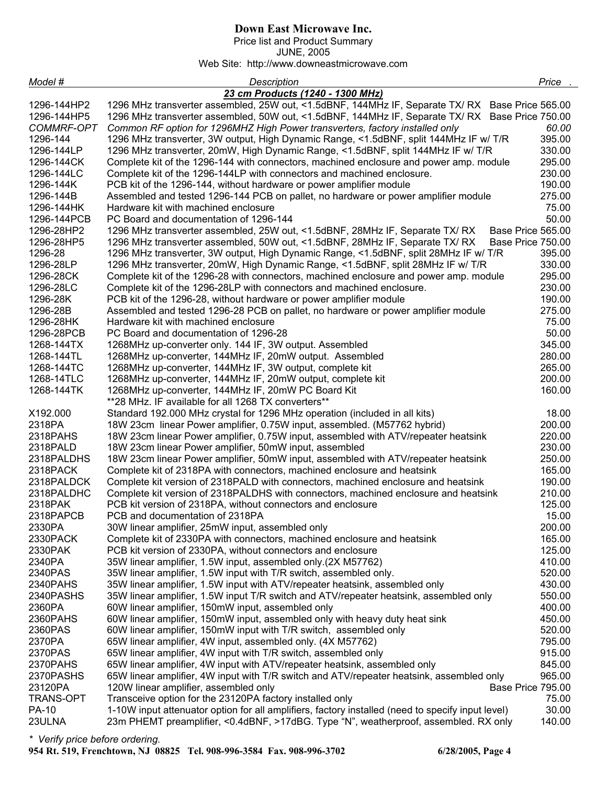Price list and Product Summary JUNE, 2005

| Model #                | Description                                                                                                                                                  | Price             |
|------------------------|--------------------------------------------------------------------------------------------------------------------------------------------------------------|-------------------|
|                        | 23 cm Products (1240 - 1300 MHz)                                                                                                                             |                   |
| 1296-144HP2            | 1296 MHz transverter assembled, 25W out, <1.5dBNF, 144MHz IF, Separate TX/RX Base Price 565.00                                                               |                   |
| 1296-144HP5            | 1296 MHz transverter assembled, 50W out, <1.5dBNF, 144MHz IF, Separate TX/RX Base Price 750.00                                                               |                   |
| COMMRF-OPT             | Common RF option for 1296MHZ High Power transverters, factory installed only                                                                                 | 60.00             |
| 1296-144               | 1296 MHz transverter, 3W output, High Dynamic Range, <1.5dBNF, split 144MHz IF w/T/R                                                                         | 395.00            |
| 1296-144LP             | 1296 MHz transverter, 20mW, High Dynamic Range, <1.5dBNF, split 144MHz IF w/ T/R                                                                             | 330.00            |
| 1296-144CK             | Complete kit of the 1296-144 with connectors, machined enclosure and power amp. module                                                                       | 295.00            |
| 1296-144LC             | Complete kit of the 1296-144LP with connectors and machined enclosure.                                                                                       | 230.00            |
| 1296-144K              | PCB kit of the 1296-144, without hardware or power amplifier module                                                                                          | 190.00            |
| 1296-144B              | Assembled and tested 1296-144 PCB on pallet, no hardware or power amplifier module                                                                           | 275.00            |
| 1296-144HK             | Hardware kit with machined enclosure                                                                                                                         | 75.00             |
| 1296-144PCB            | PC Board and documentation of 1296-144                                                                                                                       | 50.00             |
| 1296-28HP2             | 1296 MHz transverter assembled, 25W out, <1.5dBNF, 28MHz IF, Separate TX/ RX                                                                                 | Base Price 565.00 |
| 1296-28HP5             | 1296 MHz transverter assembled, 50W out, <1.5dBNF, 28MHz IF, Separate TX/ RX                                                                                 | Base Price 750.00 |
| 1296-28                | 1296 MHz transverter, 3W output, High Dynamic Range, <1.5dBNF, split 28MHz IF w/ T/R                                                                         | 395.00            |
| 1296-28LP              | 1296 MHz transverter, 20mW, High Dynamic Range, <1.5dBNF, split 28MHz IF w/ T/R                                                                              | 330.00            |
| 1296-28CK              | Complete kit of the 1296-28 with connectors, machined enclosure and power amp. module                                                                        | 295.00            |
| 1296-28LC              | Complete kit of the 1296-28LP with connectors and machined enclosure.                                                                                        | 230.00            |
| 1296-28K               | PCB kit of the 1296-28, without hardware or power amplifier module                                                                                           | 190.00            |
| 1296-28B               | Assembled and tested 1296-28 PCB on pallet, no hardware or power amplifier module                                                                            | 275.00            |
| 1296-28HK              | Hardware kit with machined enclosure                                                                                                                         | 75.00             |
| 1296-28PCB             | PC Board and documentation of 1296-28                                                                                                                        | 50.00             |
| 1268-144TX             | 1268MHz up-converter only. 144 IF, 3W output. Assembled                                                                                                      | 345.00            |
| 1268-144TL             | 1268MHz up-converter, 144MHz IF, 20mW output. Assembled                                                                                                      | 280.00            |
| 1268-144TC             | 1268MHz up-converter, 144MHz IF, 3W output, complete kit                                                                                                     | 265.00            |
| 1268-14TLC             | 1268MHz up-converter, 144MHz IF, 20mW output, complete kit                                                                                                   | 200.00            |
| 1268-144TK             | 1268MHz up-converter, 144MHz IF, 20mW PC Board Kit                                                                                                           | 160.00            |
|                        | **28 MHz. IF available for all 1268 TX converters**                                                                                                          |                   |
| X192.000               | Standard 192.000 MHz crystal for 1296 MHz operation (included in all kits)                                                                                   | 18.00             |
| 2318PA                 | 18W 23cm linear Power amplifier, 0.75W input, assembled. (M57762 hybrid)                                                                                     | 200.00            |
| 2318PAHS               | 18W 23cm linear Power amplifier, 0.75W input, assembled with ATV/repeater heatsink                                                                           | 220.00            |
| 2318PALD               | 18W 23cm linear Power amplifier, 50mW input, assembled                                                                                                       | 230.00<br>250.00  |
| 2318PALDHS<br>2318PACK | 18W 23cm linear Power amplifier, 50mW input, assembled with ATV/repeater heatsink                                                                            | 165.00            |
| 2318PALDCK             | Complete kit of 2318PA with connectors, machined enclosure and heatsink<br>Complete kit version of 2318PALD with connectors, machined enclosure and heatsink | 190.00            |
| 2318PALDHC             | Complete kit version of 2318PALDHS with connectors, machined enclosure and heatsink                                                                          | 210.00            |
| 2318PAK                | PCB kit version of 2318PA, without connectors and enclosure                                                                                                  | 125.00            |
| 2318PAPCB              | PCB and documentation of 2318PA                                                                                                                              | 15.00             |
| 2330PA                 | 30W linear amplifier, 25mW input, assembled only                                                                                                             | 200.00            |
| 2330PACK               | Complete kit of 2330PA with connectors, machined enclosure and heatsink                                                                                      | 165.00            |
| 2330PAK                | PCB kit version of 2330PA, without connectors and enclosure                                                                                                  | 125.00            |
| 2340PA                 | 35W linear amplifier, 1.5W input, assembled only.(2X M57762)                                                                                                 | 410.00            |
| 2340PAS                | 35W linear amplifier, 1.5W input with T/R switch, assembled only.                                                                                            | 520.00            |
| 2340PAHS               | 35W linear amplifier, 1.5W input with ATV/repeater heatsink, assembled only                                                                                  | 430.00            |
| 2340PASHS              | 35W linear amplifier, 1.5W input T/R switch and ATV/repeater heatsink, assembled only                                                                        | 550.00            |
| 2360PA                 | 60W linear amplifier, 150mW input, assembled only                                                                                                            | 400.00            |
| 2360PAHS               | 60W linear amplifier, 150mW input, assembled only with heavy duty heat sink                                                                                  | 450.00            |
| 2360PAS                | 60W linear amplifier, 150mW input with T/R switch, assembled only                                                                                            | 520.00            |
| 2370PA                 | 65W linear amplifier, 4W input, assembled only. (4X M57762)                                                                                                  | 795.00            |
| 2370PAS                | 65W linear amplifier, 4W input with T/R switch, assembled only                                                                                               | 915.00            |
| 2370PAHS               | 65W linear amplifier, 4W input with ATV/repeater heatsink, assembled only                                                                                    | 845.00            |
| 2370PASHS              | 65W linear amplifier, 4W input with T/R switch and ATV/repeater heatsink, assembled only                                                                     | 965.00            |
| 23120PA                | 120W linear amplifier, assembled only                                                                                                                        | Base Price 795.00 |
| <b>TRANS-OPT</b>       | Transceive option for the 23120PA factory installed only                                                                                                     | 75.00             |
| <b>PA-10</b>           | 1-10W input attenuator option for all amplifiers, factory installed (need to specify input level)                                                            | 30.00             |
| 23ULNA                 | 23m PHEMT preamplifier, <0.4dBNF, >17dBG. Type "N", weatherproof, assembled. RX only                                                                         | 140.00            |
|                        |                                                                                                                                                              |                   |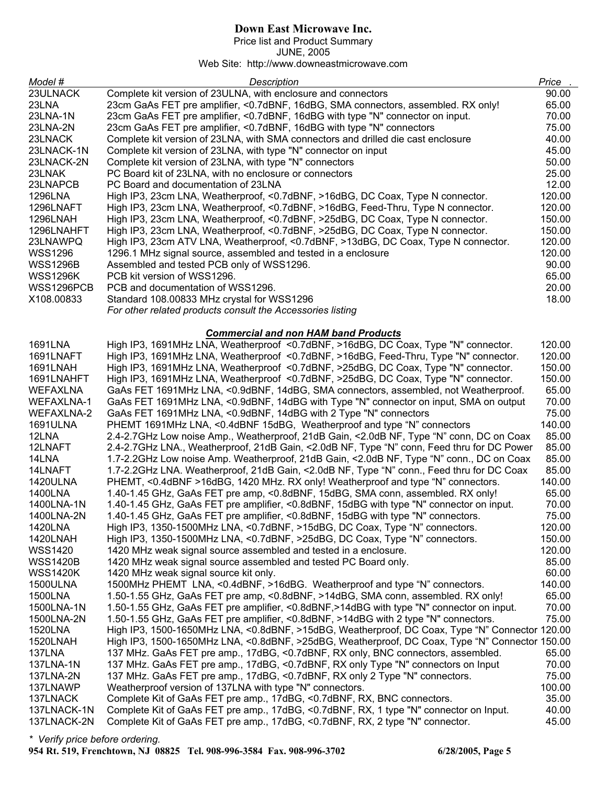Price list and Product Summary JUNE, 2005

#### Web Site: http://www.downeastmicrowave.com

| Model #         | Description                                                                        | Price. |
|-----------------|------------------------------------------------------------------------------------|--------|
| 23ULNACK        | Complete kit version of 23ULNA, with enclosure and connectors                      | 90.00  |
| 23LNA           | 23cm GaAs FET pre amplifier, <0.7dBNF, 16dBG, SMA connectors, assembled. RX only!  | 65.00  |
| 23LNA-1N        | 23cm GaAs FET pre amplifier, <0.7dBNF, 16dBG with type "N" connector on input.     | 70.00  |
| 23LNA-2N        | 23cm GaAs FET pre amplifier, <0.7dBNF, 16dBG with type "N" connectors              | 75.00  |
| 23LNACK         | Complete kit version of 23LNA, with SMA connectors and drilled die cast enclosure  | 40.00  |
| 23LNACK-1N      | Complete kit version of 23LNA, with type "N" connector on input                    | 45.00  |
| 23LNACK-2N      | Complete kit version of 23LNA, with type "N" connectors                            | 50.00  |
| 23LNAK          | PC Board kit of 23LNA, with no enclosure or connectors                             | 25.00  |
| 23LNAPCB        | PC Board and documentation of 23LNA                                                | 12.00  |
| 1296LNA         | High IP3, 23cm LNA, Weatherproof, <0.7dBNF, >16dBG, DC Coax, Type N connector.     | 120.00 |
| 1296LNAFT       | High IP3, 23cm LNA, Weatherproof, <0.7dBNF, >16dBG, Feed-Thru, Type N connector.   | 120.00 |
| <b>1296LNAH</b> | High IP3, 23cm LNA, Weatherproof, <0.7dBNF, >25dBG, DC Coax, Type N connector.     | 150.00 |
| 1296LNAHFT      | High IP3, 23cm LNA, Weatherproof, <0.7dBNF, >25dBG, DC Coax, Type N connector.     | 150.00 |
| 23LNAWPQ        | High IP3, 23cm ATV LNA, Weatherproof, <0.7dBNF, >13dBG, DC Coax, Type N connector. | 120.00 |
| <b>WSS1296</b>  | 1296.1 MHz signal source, assembled and tested in a enclosure                      | 120.00 |
| <b>WSS1296B</b> | Assembled and tested PCB only of WSS1296.                                          | 90.00  |
| <b>WSS1296K</b> | PCB kit version of WSS1296.                                                        | 65.00  |
| WSS1296PCB      | PCB and documentation of WSS1296.                                                  | 20.00  |
| X108,00833      | Standard 108.00833 MHz crystal for WSS1296                                         | 18.00  |
|                 | For other related products consult the Accessories listing                         |        |

#### *Commercial and non HAM band Products*

| 1691LNA           | High IP3, 1691MHz LNA, Weatherproof <0.7dBNF, >16dBG, DC Coax, Type "N" connector.             | 120.00 |
|-------------------|------------------------------------------------------------------------------------------------|--------|
| 1691LNAFT         | High IP3, 1691MHz LNA, Weatherproof <0.7dBNF, >16dBG, Feed-Thru, Type "N" connector.           | 120.00 |
| <b>1691LNAH</b>   | High IP3, 1691MHz LNA, Weatherproof <0.7dBNF, >25dBG, DC Coax, Type "N" connector.             | 150.00 |
| 1691LNAHFT        | High IP3, 1691MHz LNA, Weatherproof <0.7dBNF, >25dBG, DC Coax, Type "N" connector.             | 150.00 |
| <b>WEFAXLNA</b>   | GaAs FET 1691MHz LNA, <0.9dBNF, 14dBG, SMA connectors, assembled, not Weatherproof.            | 65.00  |
| <b>WEFAXLNA-1</b> | GaAs FET 1691MHz LNA, <0.9dBNF, 14dBG with Type "N" connector on input, SMA on output          | 70.00  |
| <b>WEFAXLNA-2</b> | GaAs FET 1691MHz LNA, <0.9dBNF, 14dBG with 2 Type "N" connectors                               | 75.00  |
| <b>1691ULNA</b>   | PHEMT 1691MHz LNA, <0.4dBNF 15dBG, Weatherproof and type "N" connectors                        | 140.00 |
| 12LNA             | 2.4-2.7GHz Low noise Amp., Weatherproof, 21dB Gain, <2.0dB NF, Type "N" conn, DC on Coax       | 85.00  |
| 12LNAFT           | 2.4-2.7GHz LNA., Weatherproof, 21dB Gain, <2.0dB NF, Type "N" conn, Feed thru for DC Power     | 85.00  |
| 14LNA             | 1.7-2.2GHz Low noise Amp. Weatherproof, 21dB Gain, <2.0dB NF, Type "N" conn., DC on Coax       | 85.00  |
| 14LNAFT           | 1.7-2.2GHz LNA. Weatherproof, 21dB Gain, <2.0dB NF, Type "N" conn., Feed thru for DC Coax      | 85.00  |
| <b>1420ULNA</b>   | PHEMT, <0.4dBNF >16dBG, 1420 MHz. RX only! Weatherproof and type "N" connectors.               | 140.00 |
| 1400LNA           | 1.40-1.45 GHz, GaAs FET pre amp, <0.8dBNF, 15dBG, SMA conn, assembled. RX only!                | 65.00  |
| 1400LNA-1N        | 1.40-1.45 GHz, GaAs FET pre amplifier, <0.8dBNF, 15dBG with type "N" connector on input.       | 70.00  |
| 1400LNA-2N        | 1.40-1.45 GHz, GaAs FET pre amplifier, <0.8dBNF, 15dBG with type "N" connectors.               | 75.00  |
| 1420LNA           | High IP3, 1350-1500MHz LNA, <0.7dBNF, >15dBG, DC Coax, Type "N" connectors.                    | 120.00 |
| <b>1420LNAH</b>   | High IP3, 1350-1500MHz LNA, <0.7dBNF, >25dBG, DC Coax, Type "N" connectors.                    | 150.00 |
| <b>WSS1420</b>    | 1420 MHz weak signal source assembled and tested in a enclosure.                               | 120.00 |
| <b>WSS1420B</b>   | 1420 MHz weak signal source assembled and tested PC Board only.                                | 85.00  |
| <b>WSS1420K</b>   | 1420 MHz weak signal source kit only.                                                          | 60.00  |
| 1500ULNA          | 1500MHz PHEMT LNA, <0.4dBNF, >16dBG. Weatherproof and type "N" connectors.                     | 140.00 |
| <b>1500LNA</b>    | 1.50-1.55 GHz, GaAs FET pre amp, <0.8dBNF, >14dBG, SMA conn, assembled. RX only!               | 65.00  |
| 1500LNA-1N        | 1.50-1.55 GHz, GaAs FET pre amplifier, <0.8dBNF,>14dBG with type "N" connector on input.       | 70.00  |
| 1500LNA-2N        | 1.50-1.55 GHz, GaAs FET pre amplifier, <0.8dBNF, >14dBG with 2 type "N" connectors.            | 75.00  |
| <b>1520LNA</b>    | High IP3, 1500-1650MHz LNA, <0.8dBNF, >15dBG, Weatherproof, DC Coax, Type "N" Connector 120.00 |        |
| 1520LNAH          | High IP3, 1500-1650MHz LNA, <0.8dBNF, >25dBG, Weatherproof, DC Coax, Type "N" Connector 150.00 |        |
| 137LNA            | 137 MHz. GaAs FET pre amp., 17dBG, <0.7dBNF, RX only, BNC connectors, assembled.               | 65.00  |
| 137LNA-1N         | 137 MHz. GaAs FET pre amp., 17dBG, <0.7dBNF, RX only Type "N" connectors on Input              | 70.00  |
| <b>137LNA-2N</b>  | 137 MHz. GaAs FET pre amp., 17dBG, <0.7dBNF, RX only 2 Type "N" connectors.                    | 75.00  |
| 137LNAWP          | Weatherproof version of 137LNA with type "N" connectors.                                       | 100.00 |
| 137LNACK          | Complete Kit of GaAs FET pre amp., 17dBG, <0.7dBNF, RX, BNC connectors.                        | 35.00  |
| 137LNACK-1N       | Complete Kit of GaAs FET pre amp., 17dBG, <0.7dBNF, RX, 1 type "N" connector on Input.         | 40.00  |
| 137LNACK-2N       | Complete Kit of GaAs FET pre amp., 17dBG, <0.7dBNF, RX, 2 type "N" connector.                  | 45.00  |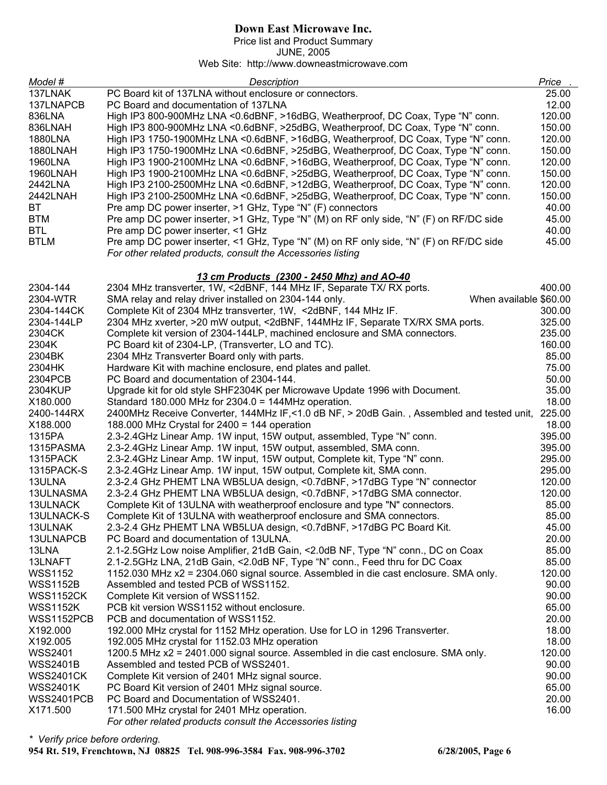Price list and Product Summary

JUNE, 2005

| Model #          | Description                                                                                 | Price. |
|------------------|---------------------------------------------------------------------------------------------|--------|
| 137LNAK          | PC Board kit of 137LNA without enclosure or connectors.                                     | 25.00  |
| 137LNAPCB        | PC Board and documentation of 137LNA                                                        | 12.00  |
| 836LNA           | High IP3 800-900MHz LNA < 0.6dBNF, >16dBG, Weatherproof, DC Coax, Type "N" conn.            | 120.00 |
| 836LNAH          | High IP3 800-900MHz LNA <0.6dBNF, >25dBG, Weatherproof, DC Coax, Type "N" conn.             | 150.00 |
| 1880LNA          | High IP3 1750-1900MHz LNA <0.6dBNF, >16dBG, Weatherproof, DC Coax, Type "N" conn.           | 120.00 |
| <b>1880LNAH</b>  | High IP3 1750-1900MHz LNA <0.6dBNF, >25dBG, Weatherproof, DC Coax, Type "N" conn.           | 150.00 |
| 1960LNA          | High IP3 1900-2100MHz LNA <0.6dBNF, >16dBG, Weatherproof, DC Coax, Type "N" conn.           | 120.00 |
| <b>1960LNAH</b>  | High IP3 1900-2100MHz LNA <0.6dBNF, >25dBG, Weatherproof, DC Coax, Type "N" conn.           | 150.00 |
| 2442LNA          | High IP3 2100-2500MHz LNA <0.6dBNF, >12dBG, Weatherproof, DC Coax, Type "N" conn.           | 120.00 |
| 2442LNAH         | High IP3 2100-2500MHz LNA <0.6dBNF, >25dBG, Weatherproof, DC Coax, Type "N" conn.           | 150.00 |
| <b>BT</b>        | Pre amp DC power inserter, >1 GHz, Type "N" (F) connectors                                  | 40.00  |
| <b>BTM</b>       | Pre amp DC power inserter, >1 GHz, Type "N" (M) on RF only side, "N" (F) on RF/DC side      | 45.00  |
| <b>BTL</b>       | Pre amp DC power inserter, <1 GHz                                                           | 40.00  |
| <b>BTLM</b>      | Pre amp DC power inserter, <1 GHz, Type "N" (M) on RF only side, "N" (F) on RF/DC side      | 45.00  |
|                  | For other related products, consult the Accessories listing                                 |        |
|                  |                                                                                             |        |
|                  | 13 cm Products (2300 - 2450 Mhz) and AO-40                                                  |        |
| 2304-144         | 2304 MHz transverter, 1W, <2dBNF, 144 MHz IF, Separate TX/RX ports.                         | 400.00 |
| 2304-WTR         | SMA relay and relay driver installed on 2304-144 only.<br>When available \$60.00            |        |
| 2304-144CK       | Complete Kit of 2304 MHz transverter, 1W, <2dBNF, 144 MHz IF.                               | 300.00 |
| 2304-144LP       | 2304 MHz xverter, >20 mW output, <2dBNF, 144MHz IF, Separate TX/RX SMA ports.               | 325.00 |
| 2304CK           | Complete kit version of 2304-144LP, machined enclosure and SMA connectors.                  | 235.00 |
| 2304K            | PC Board kit of 2304-LP, (Transverter, LO and TC).                                          | 160.00 |
| 2304BK           | 2304 MHz Transverter Board only with parts.                                                 | 85.00  |
| 2304HK           | Hardware Kit with machine enclosure, end plates and pallet.                                 | 75.00  |
| 2304PCB          | PC Board and documentation of 2304-144.                                                     | 50.00  |
| 2304KUP          | Upgrade kit for old style SHF2304K per Microwave Update 1996 with Document.                 | 35.00  |
| X180.000         | Standard 180.000 MHz for $2304.0 = 144$ MHz operation.                                      | 18.00  |
| 2400-144RX       | 2400MHz Receive Converter, 144MHz IF, < 1.0 dB NF, > 20dB Gain., Assembled and tested unit, | 225.00 |
| X188.000         | 188.000 MHz Crystal for 2400 = 144 operation                                                | 18.00  |
| 1315PA           | 2.3-2.4 GHz Linear Amp. 1W input, 15W output, assembled, Type "N" conn.                     | 395.00 |
| 1315PASMA        | 2.3-2.4 GHz Linear Amp. 1W input, 15W output, assembled, SMA conn.                          | 395.00 |
| 1315PACK         | 2.3-2.4 GHz Linear Amp. 1W input, 15W output, Complete kit, Type "N" conn.                  | 295.00 |
| 1315PACK-S       | 2.3-2.4 GHz Linear Amp. 1W input, 15W output, Complete kit, SMA conn.                       | 295.00 |
| 13ULNA           | 2.3-2.4 GHz PHEMT LNA WB5LUA design, <0.7dBNF, >17dBG Type "N" connector                    | 120.00 |
| 13ULNASMA        | 2.3-2.4 GHz PHEMT LNA WB5LUA design, <0.7dBNF, >17dBG SMA connector.                        | 120.00 |
| 13ULNACK         | Complete Kit of 13ULNA with weatherproof enclosure and type "N" connectors.                 | 85.00  |
| 13ULNACK-S       | Complete Kit of 13ULNA with weatherproof enclosure and SMA connectors.                      | 85.00  |
| 13ULNAK          | 2.3-2.4 GHz PHEMT LNA WB5LUA design, <0.7dBNF, >17dBG PC Board Kit.                         | 45.00  |
| 13ULNAPCB        | PC Board and documentation of 13ULNA.                                                       | 20.00  |
| 13LNA            | 2.1-2.5GHz Low noise Amplifier, 21dB Gain, <2.0dB NF, Type "N" conn., DC on Coax            | 85.00  |
| 13LNAFT          | 2.1-2.5GHz LNA, 21dB Gain, <2.0dB NF, Type "N" conn., Feed thru for DC Coax                 | 85.00  |
| <b>WSS1152</b>   | 1152.030 MHz x2 = 2304.060 signal source. Assembled in die cast enclosure. SMA only.        | 120.00 |
| <b>WSS1152B</b>  | Assembled and tested PCB of WSS1152.                                                        | 90.00  |
| <b>WSS1152CK</b> | Complete Kit version of WSS1152.                                                            | 90.00  |
| <b>WSS1152K</b>  | PCB kit version WSS1152 without enclosure.                                                  | 65.00  |
| WSS1152PCB       | PCB and documentation of WSS1152.                                                           | 20.00  |
| X192.000         | 192.000 MHz crystal for 1152 MHz operation. Use for LO in 1296 Transverter.                 | 18.00  |
| X192.005         | 192.005 MHz crystal for 1152.03 MHz operation                                               | 18.00  |
| <b>WSS2401</b>   | 1200.5 MHz x2 = 2401.000 signal source. Assembled in die cast enclosure. SMA only.          | 120.00 |
| <b>WSS2401B</b>  | Assembled and tested PCB of WSS2401.                                                        | 90.00  |
| <b>WSS2401CK</b> | Complete Kit version of 2401 MHz signal source.                                             | 90.00  |
| <b>WSS2401K</b>  | PC Board Kit version of 2401 MHz signal source.                                             | 65.00  |
| WSS2401PCB       | PC Board and Documentation of WSS2401.                                                      | 20.00  |
| X171.500         | 171.500 MHz crystal for 2401 MHz operation.                                                 | 16.00  |
|                  | For other related products consult the Accessories listing                                  |        |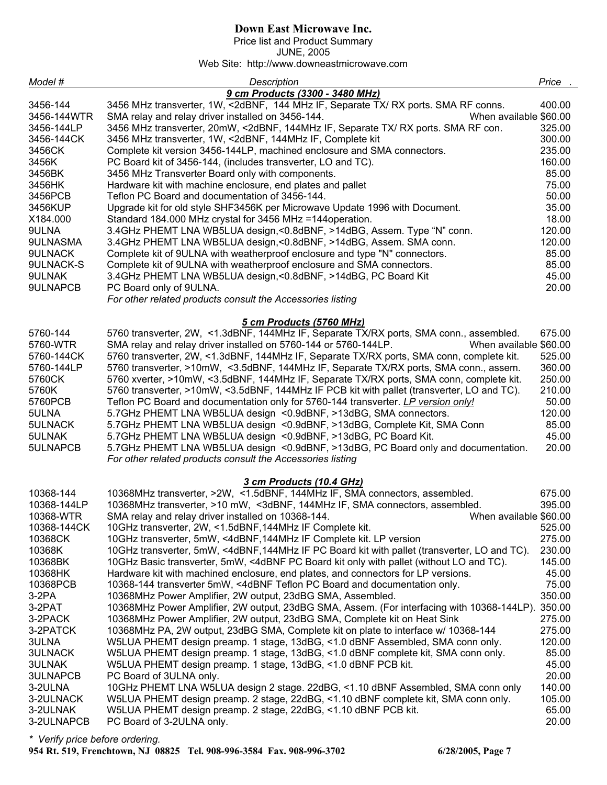Price list and Product Summary

JUNE, 2005

| Model #        | <b>Description</b>                                                                                                 | Price. |
|----------------|--------------------------------------------------------------------------------------------------------------------|--------|
|                | 9 cm Products (3300 - 3480 MHz)                                                                                    |        |
| 3456-144       | 3456 MHz transverter, 1W, <2dBNF, 144 MHz IF, Separate TX/RX ports. SMA RF conns.                                  | 400.00 |
| 3456-144WTR    | SMA relay and relay driver installed on 3456-144.<br>When available \$60.00                                        |        |
| 3456-144LP     | 3456 MHz transverter, 20mW, <2dBNF, 144MHz IF, Separate TX/ RX ports. SMA RF con.                                  | 325.00 |
| 3456-144CK     | 3456 MHz transverter, 1W, <2dBNF, 144MHz IF, Complete kit                                                          | 300.00 |
| 3456CK         | Complete kit version 3456-144LP, machined enclosure and SMA connectors.                                            | 235.00 |
|                |                                                                                                                    | 160.00 |
| 3456K          | PC Board kit of 3456-144, (includes transverter, LO and TC).                                                       |        |
| 3456BK         | 3456 MHz Transverter Board only with components.                                                                   | 85.00  |
| 3456HK         | Hardware kit with machine enclosure, end plates and pallet                                                         | 75.00  |
| 3456PCB        | Teflon PC Board and documentation of 3456-144.                                                                     | 50.00  |
| 3456KUP        | Upgrade kit for old style SHF3456K per Microwave Update 1996 with Document.                                        | 35.00  |
| X184.000       | Standard 184.000 MHz crystal for 3456 MHz =144operation.                                                           | 18.00  |
| 9ULNA          | 3.4GHz PHEMT LNA WB5LUA design,<0.8dBNF, >14dBG, Assem. Type "N" conn.                                             | 120.00 |
| 9ULNASMA       | 3.4GHz PHEMT LNA WB5LUA design, < 0.8dBNF, >14dBG, Assem. SMA conn.                                                | 120.00 |
| 9ULNACK        | Complete kit of 9ULNA with weatherproof enclosure and type "N" connectors.                                         | 85.00  |
| 9ULNACK-S      | Complete kit of 9ULNA with weatherproof enclosure and SMA connectors.                                              | 85.00  |
| 9ULNAK         | 3.4GHz PHEMT LNA WB5LUA design, < 0.8dBNF, >14dBG, PC Board Kit                                                    | 45.00  |
| 9ULNAPCB       | PC Board only of 9ULNA.                                                                                            | 20.00  |
|                | For other related products consult the Accessories listing                                                         |        |
|                |                                                                                                                    |        |
|                |                                                                                                                    |        |
| 5760-144       | 5 cm Products (5760 MHz)<br>5760 transverter, 2W, <1.3dBNF, 144MHz IF, Separate TX/RX ports, SMA conn., assembled. | 675.00 |
|                |                                                                                                                    |        |
| 5760-WTR       | When available \$60.00<br>SMA relay and relay driver installed on 5760-144 or 5760-144LP.                          |        |
| 5760-144CK     | 5760 transverter, 2W, <1.3dBNF, 144MHz IF, Separate TX/RX ports, SMA conn, complete kit.                           | 525.00 |
| 5760-144LP     | 5760 transverter, >10mW, <3.5dBNF, 144MHz IF, Separate TX/RX ports, SMA conn., assem.                              | 360.00 |
| 5760CK         | 5760 xverter, >10mW, <3.5dBNF, 144MHz IF, Separate TX/RX ports, SMA conn, complete kit.                            | 250.00 |
| 5760K          | 5760 transverter, >10mW, <3.5dBNF, 144MHz IF PCB kit with pallet (transverter, LO and TC).                         | 210.00 |
| 5760PCB        | Teflon PC Board and documentation only for 5760-144 transverter. LP version only!                                  | 50.00  |
| 5ULNA          | 5.7GHz PHEMT LNA WB5LUA design <0.9dBNF, >13dBG, SMA connectors.                                                   | 120.00 |
| 5ULNACK        | 5.7GHz PHEMT LNA WB5LUA design <0.9dBNF, >13dBG, Complete Kit, SMA Conn                                            | 85.00  |
| 5ULNAK         | 5.7GHz PHEMT LNA WB5LUA design <0.9dBNF, >13dBG, PC Board Kit.                                                     | 45.00  |
| 5ULNAPCB       | 5.7GHz PHEMT LNA WB5LUA design <0.9dBNF, >13dBG, PC Board only and documentation.                                  | 20.00  |
|                | For other related products consult the Accessories listing                                                         |        |
|                |                                                                                                                    |        |
|                | 3 cm Products (10.4 GHz)                                                                                           |        |
| 10368-144      | 10368MHz transverter, >2W, <1.5dBNF, 144MHz IF, SMA connectors, assembled.                                         | 675.00 |
| 10368-144LP    | 10368MHz transverter, >10 mW, <3dBNF, 144MHz IF, SMA connectors, assembled.                                        | 395.00 |
| 10368-WTR      | SMA relay and relay driver installed on 10368-144.<br>When available \$60.00                                       |        |
| 10368-144CK    | 10GHz transverter, 2W, <1.5dBNF, 144MHz IF Complete kit.                                                           | 525.00 |
| 10368CK        | 10GHz transverter, 5mW, <4dBNF, 144MHz IF Complete kit. LP version                                                 | 275.00 |
|                | 10GHz transverter, 5mW, <4dBNF, 144MHz IF PC Board kit with pallet (transverter, LO and TC).                       |        |
| 10368K         |                                                                                                                    | 230.00 |
| 10368BK        | 10GHz Basic transverter, 5mW, <4dBNF PC Board kit only with pallet (without LO and TC).                            | 145.00 |
| 10368HK        | Hardware kit with machined enclosure, end plates, and connectors for LP versions.                                  | 45.00  |
| 10368PCB       | 10368-144 transverter 5mW, <4dBNF Teflon PC Board and documentation only.                                          | 75.00  |
| $3-2PA$        | 10368MHz Power Amplifier, 2W output, 23dBG SMA, Assembled.                                                         | 350.00 |
| 3-2PAT         | 10368MHz Power Amplifier, 2W output, 23dBG SMA, Assem. (For interfacing with 10368-144LP).                         | 350.00 |
| 3-2PACK        | 10368MHz Power Amplifier, 2W output, 23dBG SMA, Complete kit on Heat Sink                                          | 275.00 |
| 3-2PATCK       | 10368MHz PA, 2W output, 23dBG SMA, Complete kit on plate to interface w/ 10368-144                                 | 275.00 |
| 3ULNA          | W5LUA PHEMT design preamp. 1 stage, 13dBG, <1.0 dBNF Assembled, SMA conn only.                                     | 120.00 |
| <b>3ULNACK</b> | W5LUA PHEMT design preamp. 1 stage, 13dBG, <1.0 dBNF complete kit, SMA conn only.                                  | 85.00  |
| 3ULNAK         | W5LUA PHEMT design preamp. 1 stage, 13dBG, <1.0 dBNF PCB kit.                                                      | 45.00  |
| 3ULNAPCB       | PC Board of 3ULNA only.                                                                                            | 20.00  |
| 3-2ULNA        | 10GHz PHEMT LNA W5LUA design 2 stage. 22dBG, <1.10 dBNF Assembled, SMA conn only                                   | 140.00 |
| 3-2ULNACK      | W5LUA PHEMT design preamp. 2 stage, 22dBG, <1.10 dBNF complete kit, SMA conn only.                                 | 105.00 |
| 3-2ULNAK       | W5LUA PHEMT design preamp. 2 stage, 22dBG, <1.10 dBNF PCB kit.                                                     | 65.00  |
| 3-2ULNAPCB     | PC Board of 3-2ULNA only.                                                                                          | 20.00  |
|                |                                                                                                                    |        |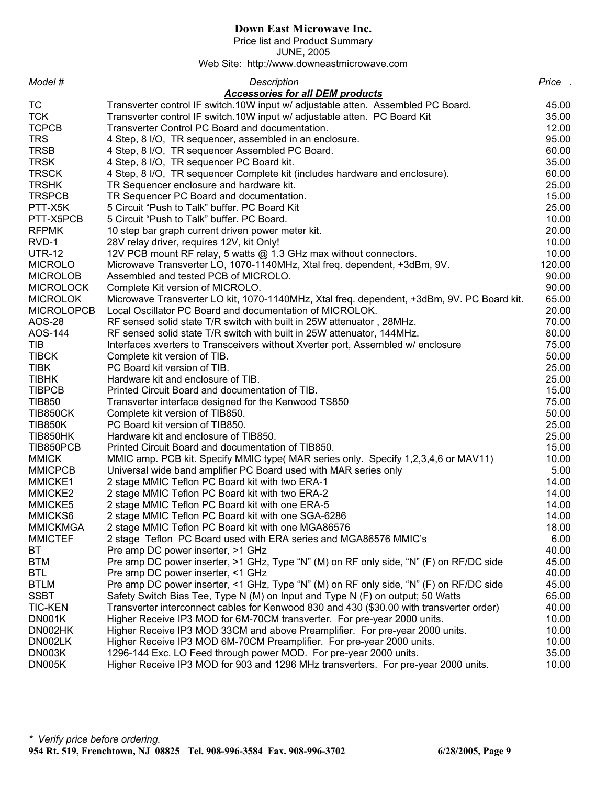Price list and Product Summary

JUNE, 2005

| Model #           | Description                                                                                | Price. |
|-------------------|--------------------------------------------------------------------------------------------|--------|
|                   | <b>Accessories for all DEM products</b>                                                    |        |
| <b>TC</b>         | Transverter control IF switch.10W input w/ adjustable atten. Assembled PC Board.           | 45.00  |
| <b>TCK</b>        | Transverter control IF switch.10W input w/ adjustable atten. PC Board Kit                  | 35.00  |
| <b>TCPCB</b>      | Transverter Control PC Board and documentation.                                            | 12.00  |
| <b>TRS</b>        | 4 Step, 8 I/O, TR sequencer, assembled in an enclosure.                                    | 95.00  |
| <b>TRSB</b>       | 4 Step, 8 I/O, TR sequencer Assembled PC Board.                                            | 60.00  |
| <b>TRSK</b>       | 4 Step, 8 I/O, TR sequencer PC Board kit.                                                  | 35.00  |
| <b>TRSCK</b>      | 4 Step, 8 I/O, TR sequencer Complete kit (includes hardware and enclosure).                | 60.00  |
| <b>TRSHK</b>      | TR Sequencer enclosure and hardware kit.                                                   | 25.00  |
| <b>TRSPCB</b>     | TR Sequencer PC Board and documentation.                                                   | 15.00  |
| PTT-X5K           | 5 Circuit "Push to Talk" buffer. PC Board Kit                                              | 25.00  |
| PTT-X5PCB         | 5 Circuit "Push to Talk" buffer. PC Board.                                                 | 10.00  |
| <b>RFPMK</b>      | 10 step bar graph current driven power meter kit.                                          | 20.00  |
| RVD-1             | 28V relay driver, requires 12V, kit Only!                                                  | 10.00  |
| <b>UTR-12</b>     | 12V PCB mount RF relay, 5 watts @ 1.3 GHz max without connectors.                          | 10.00  |
| <b>MICROLO</b>    | Microwave Transverter LO, 1070-1140MHz, Xtal freq. dependent, +3dBm, 9V.                   | 120.00 |
| <b>MICROLOB</b>   | Assembled and tested PCB of MICROLO.                                                       | 90.00  |
| <b>MICROLOCK</b>  | Complete Kit version of MICROLO.                                                           | 90.00  |
| <b>MICROLOK</b>   | Microwave Transverter LO kit, 1070-1140MHz, Xtal freq. dependent, +3dBm, 9V. PC Board kit. | 65.00  |
| <b>MICROLOPCB</b> | Local Oscillator PC Board and documentation of MICROLOK.                                   | 20.00  |
| <b>AOS-28</b>     | RF sensed solid state T/R switch with built in 25W attenuator, 28MHz.                      | 70.00  |
| AOS-144           | RF sensed solid state T/R switch with built in 25W attenuator, 144MHz.                     | 80.00  |
| TIB               | Interfaces xverters to Transceivers without Xverter port, Assembled w/ enclosure           | 75.00  |
| <b>TIBCK</b>      | Complete kit version of TIB.                                                               | 50.00  |
| <b>TIBK</b>       | PC Board kit version of TIB.                                                               | 25.00  |
| <b>TIBHK</b>      | Hardware kit and enclosure of TIB.                                                         | 25.00  |
| <b>TIBPCB</b>     | Printed Circuit Board and documentation of TIB.                                            | 15.00  |
| <b>TIB850</b>     | Transverter interface designed for the Kenwood TS850                                       | 75.00  |
| <b>TIB850CK</b>   | Complete kit version of TIB850.                                                            | 50.00  |
| <b>TIB850K</b>    | PC Board kit version of TIB850.                                                            | 25.00  |
| <b>TIB850HK</b>   | Hardware kit and enclosure of TIB850.                                                      | 25.00  |
| TIB850PCB         | Printed Circuit Board and documentation of TIB850.                                         | 15.00  |
| <b>MMICK</b>      | MMIC amp. PCB kit. Specify MMIC type( MAR series only. Specify 1,2,3,4,6 or MAV11)         | 10.00  |
| <b>MMICPCB</b>    | Universal wide band amplifier PC Board used with MAR series only                           | 5.00   |
| MMICKE1           | 2 stage MMIC Teflon PC Board kit with two ERA-1                                            | 14.00  |
| MMICKE2           | 2 stage MMIC Teflon PC Board kit with two ERA-2                                            | 14.00  |
| MMICKE5           | 2 stage MMIC Teflon PC Board kit with one ERA-5                                            | 14.00  |
| MMICKS6           | 2 stage MMIC Teflon PC Board kit with one SGA-6286                                         | 14.00  |
| <b>MMICKMGA</b>   | 2 stage MMIC Teflon PC Board kit with one MGA86576                                         | 18.00  |
| <b>MMICTEF</b>    | 2 stage Teflon PC Board used with ERA series and MGA86576 MMIC's                           | 6.00   |
| ВT                | Pre amp DC power inserter, >1 GHz                                                          | 40.00  |
| <b>BTM</b>        | Pre amp DC power inserter, >1 GHz, Type "N" (M) on RF only side, "N" (F) on RF/DC side     | 45.00  |
| <b>BTL</b>        | Pre amp DC power inserter, <1 GHz                                                          | 40.00  |
| <b>BTLM</b>       | Pre amp DC power inserter, <1 GHz, Type "N" (M) on RF only side, "N" (F) on RF/DC side     | 45.00  |
| <b>SSBT</b>       | Safety Switch Bias Tee, Type N (M) on Input and Type N (F) on output; 50 Watts             | 65.00  |
| <b>TIC-KEN</b>    | Transverter interconnect cables for Kenwood 830 and 430 (\$30.00 with transverter order)   | 40.00  |
| DN001K            | Higher Receive IP3 MOD for 6M-70CM transverter. For pre-year 2000 units.                   | 10.00  |
| DN002HK           | Higher Receive IP3 MOD 33CM and above Preamplifier. For pre-year 2000 units.               | 10.00  |
| DN002LK           | Higher Receive IP3 MOD 6M-70CM Preamplifier. For pre-year 2000 units.                      | 10.00  |
| DN003K            | 1296-144 Exc. LO Feed through power MOD. For pre-year 2000 units.                          | 35.00  |
| DN005K            | Higher Receive IP3 MOD for 903 and 1296 MHz transverters. For pre-year 2000 units.         | 10.00  |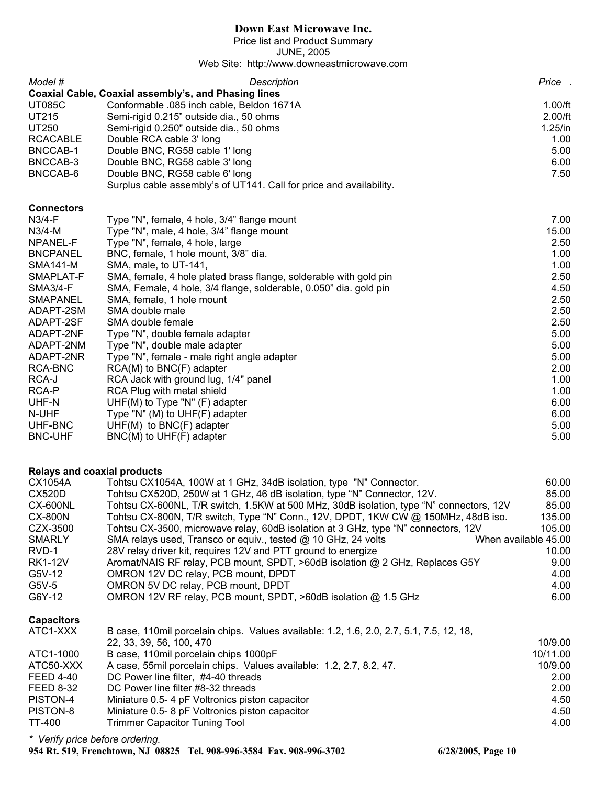#### Price list and Product Summary

## JUNE, 2005

| Coaxial Cable, Coaxial assembly's, and Phasing lines<br><b>UT085C</b><br>Conformable .085 inch cable, Beldon 1671A<br>1.00/ft<br>UT215<br>Semi-rigid 0.215" outside dia., 50 ohms<br>2.00/ft<br>$1.25$ /in<br>UT250<br>Semi-rigid 0.250" outside dia., 50 ohms<br>Double RCA cable 3' long<br>1.00<br><b>RCACABLE</b><br><b>BNCCAB-1</b><br>Double BNC, RG58 cable 1' long<br>5.00<br>BNCCAB-3<br>Double BNC, RG58 cable 3' long<br>6.00<br>7.50<br>BNCCAB-6<br>Double BNC, RG58 cable 6' long<br>Surplus cable assembly's of UT141. Call for price and availability.<br><b>Connectors</b><br>7.00<br>N3/4-F<br>Type "N", female, 4 hole, 3/4" flange mount<br>N3/4-M<br>Type "N", male, 4 hole, 3/4" flange mount<br>15.00<br>Type "N", female, 4 hole, large<br>2.50<br>NPANEL-F<br><b>BNCPANEL</b><br>BNC, female, 1 hole mount, 3/8" dia.<br>1.00<br>SMA, male, to UT-141,<br>1.00<br><b>SMA141-M</b><br>SMA, female, 4 hole plated brass flange, solderable with gold pin<br>2.50<br>SMAPLAT-F<br><b>SMA3/4-F</b><br>SMA, Female, 4 hole, 3/4 flange, solderable, 0.050" dia. gold pin<br>4.50<br>2.50<br>SMAPANEL<br>SMA, female, 1 hole mount<br>SMA double male<br>2.50<br>ADAPT-2SM<br>2.50<br>ADAPT-2SF<br>SMA double female<br>ADAPT-2NF<br>Type "N", double female adapter<br>5.00<br>5.00<br>ADAPT-2NM<br>Type "N", double male adapter<br>ADAPT-2NR<br>Type "N", female - male right angle adapter<br>5.00<br>2.00<br><b>RCA-BNC</b><br>$RCA(M)$ to $BNC(F)$ adapter<br>RCA-J<br>1.00<br>RCA Jack with ground lug, 1/4" panel<br>1.00<br>RCA-P<br>RCA Plug with metal shield<br>6.00<br>UHF-N<br>UHF(M) to Type "N" (F) adapter<br>N-UHF<br>Type "N" (M) to UHF(F) adapter<br>6.00<br>5.00<br>UHF-BNC<br>$UHF(M)$ to $BNC(F)$ adapter<br><b>BNC-UHF</b><br>5.00<br>$BNC(M)$ to $UHF(F)$ adapter<br><b>Relays and coaxial products</b><br>CX1054A<br>Tohtsu CX1054A, 100W at 1 GHz, 34dB isolation, type "N" Connector.<br>60.00<br><b>CX520D</b><br>Tohtsu CX520D, 250W at 1 GHz, 46 dB isolation, type "N" Connector, 12V.<br>85.00<br>Tohtsu CX-600NL, T/R switch, 1.5KW at 500 MHz, 30dB isolation, type "N" connectors, 12V<br>85.00<br><b>CX-600NL</b><br>Tohtsu CX-800N, T/R switch, Type "N" Conn., 12V, DPDT, 1KW CW @ 150MHz, 48dB iso.<br><b>CX-800N</b><br>135.00<br>CZX-3500<br>Tohtsu CX-3500, microwave relay, 60dB isolation at 3 GHz, type "N" connectors, 12V<br>105.00<br><b>SMARLY</b><br>SMA relays used, Transco or equiv., tested @ 10 GHz, 24 volts<br>When available 45.00<br>RVD-1<br>28V relay driver kit, requires 12V and PTT ground to energize<br>10.00<br>Aromat/NAIS RF relay, PCB mount, SPDT, >60dB isolation @ 2 GHz, Replaces G5Y<br><b>RK1-12V</b><br>9.00<br>OMRON 12V DC relay, PCB mount, DPDT<br>G5V-12<br>4.00<br>OMRON 5V DC relay, PCB mount, DPDT<br>$G5V-5$<br>4.00<br>OMRON 12V RF relay, PCB mount, SPDT, >60dB isolation @ 1.5 GHz<br>6.00<br>G6Y-12<br><b>Capacitors</b><br>ATC1-XXX<br>B case, 110mil porcelain chips. Values available: 1.2, 1.6, 2.0, 2.7, 5.1, 7.5, 12, 18,<br>22, 33, 39, 56, 100, 470<br>10/9.00<br>10/11.00<br>B case, 110mil porcelain chips 1000pF<br>ATC1-1000<br>10/9.00<br>ATC50-XXX<br>A case, 55mil porcelain chips. Values available: 1.2, 2.7, 8.2, 47.<br><b>FEED 4-40</b><br>DC Power line filter, #4-40 threads<br>2.00<br><b>FEED 8-32</b><br>DC Power line filter #8-32 threads<br>2.00<br>PISTON-4<br>Miniature 0.5-4 pF Voltronics piston capacitor<br>4.50<br>PISTON-8<br>Miniature 0.5-8 pF Voltronics piston capacitor<br>4.50 | Model # | Description                          | Price |
|------------------------------------------------------------------------------------------------------------------------------------------------------------------------------------------------------------------------------------------------------------------------------------------------------------------------------------------------------------------------------------------------------------------------------------------------------------------------------------------------------------------------------------------------------------------------------------------------------------------------------------------------------------------------------------------------------------------------------------------------------------------------------------------------------------------------------------------------------------------------------------------------------------------------------------------------------------------------------------------------------------------------------------------------------------------------------------------------------------------------------------------------------------------------------------------------------------------------------------------------------------------------------------------------------------------------------------------------------------------------------------------------------------------------------------------------------------------------------------------------------------------------------------------------------------------------------------------------------------------------------------------------------------------------------------------------------------------------------------------------------------------------------------------------------------------------------------------------------------------------------------------------------------------------------------------------------------------------------------------------------------------------------------------------------------------------------------------------------------------------------------------------------------------------------------------------------------------------------------------------------------------------------------------------------------------------------------------------------------------------------------------------------------------------------------------------------------------------------------------------------------------------------------------------------------------------------------------------------------------------------------------------------------------------------------------------------------------------------------------------------------------------------------------------------------------------------------------------------------------------------------------------------------------------------------------------------------------------------------------------------------------------------------------------------------------------------------------------------------------------------------------------------------------------------------------------------------------------------------------------------------------------------------------------------------------------------------------------------------------------------------------------------------------------------------------------------------------------------------------------------------------------------------------|---------|--------------------------------------|-------|
|                                                                                                                                                                                                                                                                                                                                                                                                                                                                                                                                                                                                                                                                                                                                                                                                                                                                                                                                                                                                                                                                                                                                                                                                                                                                                                                                                                                                                                                                                                                                                                                                                                                                                                                                                                                                                                                                                                                                                                                                                                                                                                                                                                                                                                                                                                                                                                                                                                                                                                                                                                                                                                                                                                                                                                                                                                                                                                                                                                                                                                                                                                                                                                                                                                                                                                                                                                                                                                                                                                                                          |         |                                      |       |
|                                                                                                                                                                                                                                                                                                                                                                                                                                                                                                                                                                                                                                                                                                                                                                                                                                                                                                                                                                                                                                                                                                                                                                                                                                                                                                                                                                                                                                                                                                                                                                                                                                                                                                                                                                                                                                                                                                                                                                                                                                                                                                                                                                                                                                                                                                                                                                                                                                                                                                                                                                                                                                                                                                                                                                                                                                                                                                                                                                                                                                                                                                                                                                                                                                                                                                                                                                                                                                                                                                                                          |         |                                      |       |
|                                                                                                                                                                                                                                                                                                                                                                                                                                                                                                                                                                                                                                                                                                                                                                                                                                                                                                                                                                                                                                                                                                                                                                                                                                                                                                                                                                                                                                                                                                                                                                                                                                                                                                                                                                                                                                                                                                                                                                                                                                                                                                                                                                                                                                                                                                                                                                                                                                                                                                                                                                                                                                                                                                                                                                                                                                                                                                                                                                                                                                                                                                                                                                                                                                                                                                                                                                                                                                                                                                                                          |         |                                      |       |
|                                                                                                                                                                                                                                                                                                                                                                                                                                                                                                                                                                                                                                                                                                                                                                                                                                                                                                                                                                                                                                                                                                                                                                                                                                                                                                                                                                                                                                                                                                                                                                                                                                                                                                                                                                                                                                                                                                                                                                                                                                                                                                                                                                                                                                                                                                                                                                                                                                                                                                                                                                                                                                                                                                                                                                                                                                                                                                                                                                                                                                                                                                                                                                                                                                                                                                                                                                                                                                                                                                                                          |         |                                      |       |
|                                                                                                                                                                                                                                                                                                                                                                                                                                                                                                                                                                                                                                                                                                                                                                                                                                                                                                                                                                                                                                                                                                                                                                                                                                                                                                                                                                                                                                                                                                                                                                                                                                                                                                                                                                                                                                                                                                                                                                                                                                                                                                                                                                                                                                                                                                                                                                                                                                                                                                                                                                                                                                                                                                                                                                                                                                                                                                                                                                                                                                                                                                                                                                                                                                                                                                                                                                                                                                                                                                                                          |         |                                      |       |
|                                                                                                                                                                                                                                                                                                                                                                                                                                                                                                                                                                                                                                                                                                                                                                                                                                                                                                                                                                                                                                                                                                                                                                                                                                                                                                                                                                                                                                                                                                                                                                                                                                                                                                                                                                                                                                                                                                                                                                                                                                                                                                                                                                                                                                                                                                                                                                                                                                                                                                                                                                                                                                                                                                                                                                                                                                                                                                                                                                                                                                                                                                                                                                                                                                                                                                                                                                                                                                                                                                                                          |         |                                      |       |
|                                                                                                                                                                                                                                                                                                                                                                                                                                                                                                                                                                                                                                                                                                                                                                                                                                                                                                                                                                                                                                                                                                                                                                                                                                                                                                                                                                                                                                                                                                                                                                                                                                                                                                                                                                                                                                                                                                                                                                                                                                                                                                                                                                                                                                                                                                                                                                                                                                                                                                                                                                                                                                                                                                                                                                                                                                                                                                                                                                                                                                                                                                                                                                                                                                                                                                                                                                                                                                                                                                                                          |         |                                      |       |
|                                                                                                                                                                                                                                                                                                                                                                                                                                                                                                                                                                                                                                                                                                                                                                                                                                                                                                                                                                                                                                                                                                                                                                                                                                                                                                                                                                                                                                                                                                                                                                                                                                                                                                                                                                                                                                                                                                                                                                                                                                                                                                                                                                                                                                                                                                                                                                                                                                                                                                                                                                                                                                                                                                                                                                                                                                                                                                                                                                                                                                                                                                                                                                                                                                                                                                                                                                                                                                                                                                                                          |         |                                      |       |
|                                                                                                                                                                                                                                                                                                                                                                                                                                                                                                                                                                                                                                                                                                                                                                                                                                                                                                                                                                                                                                                                                                                                                                                                                                                                                                                                                                                                                                                                                                                                                                                                                                                                                                                                                                                                                                                                                                                                                                                                                                                                                                                                                                                                                                                                                                                                                                                                                                                                                                                                                                                                                                                                                                                                                                                                                                                                                                                                                                                                                                                                                                                                                                                                                                                                                                                                                                                                                                                                                                                                          |         |                                      |       |
|                                                                                                                                                                                                                                                                                                                                                                                                                                                                                                                                                                                                                                                                                                                                                                                                                                                                                                                                                                                                                                                                                                                                                                                                                                                                                                                                                                                                                                                                                                                                                                                                                                                                                                                                                                                                                                                                                                                                                                                                                                                                                                                                                                                                                                                                                                                                                                                                                                                                                                                                                                                                                                                                                                                                                                                                                                                                                                                                                                                                                                                                                                                                                                                                                                                                                                                                                                                                                                                                                                                                          |         |                                      |       |
|                                                                                                                                                                                                                                                                                                                                                                                                                                                                                                                                                                                                                                                                                                                                                                                                                                                                                                                                                                                                                                                                                                                                                                                                                                                                                                                                                                                                                                                                                                                                                                                                                                                                                                                                                                                                                                                                                                                                                                                                                                                                                                                                                                                                                                                                                                                                                                                                                                                                                                                                                                                                                                                                                                                                                                                                                                                                                                                                                                                                                                                                                                                                                                                                                                                                                                                                                                                                                                                                                                                                          |         |                                      |       |
|                                                                                                                                                                                                                                                                                                                                                                                                                                                                                                                                                                                                                                                                                                                                                                                                                                                                                                                                                                                                                                                                                                                                                                                                                                                                                                                                                                                                                                                                                                                                                                                                                                                                                                                                                                                                                                                                                                                                                                                                                                                                                                                                                                                                                                                                                                                                                                                                                                                                                                                                                                                                                                                                                                                                                                                                                                                                                                                                                                                                                                                                                                                                                                                                                                                                                                                                                                                                                                                                                                                                          |         |                                      |       |
|                                                                                                                                                                                                                                                                                                                                                                                                                                                                                                                                                                                                                                                                                                                                                                                                                                                                                                                                                                                                                                                                                                                                                                                                                                                                                                                                                                                                                                                                                                                                                                                                                                                                                                                                                                                                                                                                                                                                                                                                                                                                                                                                                                                                                                                                                                                                                                                                                                                                                                                                                                                                                                                                                                                                                                                                                                                                                                                                                                                                                                                                                                                                                                                                                                                                                                                                                                                                                                                                                                                                          |         |                                      |       |
|                                                                                                                                                                                                                                                                                                                                                                                                                                                                                                                                                                                                                                                                                                                                                                                                                                                                                                                                                                                                                                                                                                                                                                                                                                                                                                                                                                                                                                                                                                                                                                                                                                                                                                                                                                                                                                                                                                                                                                                                                                                                                                                                                                                                                                                                                                                                                                                                                                                                                                                                                                                                                                                                                                                                                                                                                                                                                                                                                                                                                                                                                                                                                                                                                                                                                                                                                                                                                                                                                                                                          |         |                                      |       |
|                                                                                                                                                                                                                                                                                                                                                                                                                                                                                                                                                                                                                                                                                                                                                                                                                                                                                                                                                                                                                                                                                                                                                                                                                                                                                                                                                                                                                                                                                                                                                                                                                                                                                                                                                                                                                                                                                                                                                                                                                                                                                                                                                                                                                                                                                                                                                                                                                                                                                                                                                                                                                                                                                                                                                                                                                                                                                                                                                                                                                                                                                                                                                                                                                                                                                                                                                                                                                                                                                                                                          |         |                                      |       |
|                                                                                                                                                                                                                                                                                                                                                                                                                                                                                                                                                                                                                                                                                                                                                                                                                                                                                                                                                                                                                                                                                                                                                                                                                                                                                                                                                                                                                                                                                                                                                                                                                                                                                                                                                                                                                                                                                                                                                                                                                                                                                                                                                                                                                                                                                                                                                                                                                                                                                                                                                                                                                                                                                                                                                                                                                                                                                                                                                                                                                                                                                                                                                                                                                                                                                                                                                                                                                                                                                                                                          |         |                                      |       |
|                                                                                                                                                                                                                                                                                                                                                                                                                                                                                                                                                                                                                                                                                                                                                                                                                                                                                                                                                                                                                                                                                                                                                                                                                                                                                                                                                                                                                                                                                                                                                                                                                                                                                                                                                                                                                                                                                                                                                                                                                                                                                                                                                                                                                                                                                                                                                                                                                                                                                                                                                                                                                                                                                                                                                                                                                                                                                                                                                                                                                                                                                                                                                                                                                                                                                                                                                                                                                                                                                                                                          |         |                                      |       |
|                                                                                                                                                                                                                                                                                                                                                                                                                                                                                                                                                                                                                                                                                                                                                                                                                                                                                                                                                                                                                                                                                                                                                                                                                                                                                                                                                                                                                                                                                                                                                                                                                                                                                                                                                                                                                                                                                                                                                                                                                                                                                                                                                                                                                                                                                                                                                                                                                                                                                                                                                                                                                                                                                                                                                                                                                                                                                                                                                                                                                                                                                                                                                                                                                                                                                                                                                                                                                                                                                                                                          |         |                                      |       |
|                                                                                                                                                                                                                                                                                                                                                                                                                                                                                                                                                                                                                                                                                                                                                                                                                                                                                                                                                                                                                                                                                                                                                                                                                                                                                                                                                                                                                                                                                                                                                                                                                                                                                                                                                                                                                                                                                                                                                                                                                                                                                                                                                                                                                                                                                                                                                                                                                                                                                                                                                                                                                                                                                                                                                                                                                                                                                                                                                                                                                                                                                                                                                                                                                                                                                                                                                                                                                                                                                                                                          |         |                                      |       |
|                                                                                                                                                                                                                                                                                                                                                                                                                                                                                                                                                                                                                                                                                                                                                                                                                                                                                                                                                                                                                                                                                                                                                                                                                                                                                                                                                                                                                                                                                                                                                                                                                                                                                                                                                                                                                                                                                                                                                                                                                                                                                                                                                                                                                                                                                                                                                                                                                                                                                                                                                                                                                                                                                                                                                                                                                                                                                                                                                                                                                                                                                                                                                                                                                                                                                                                                                                                                                                                                                                                                          |         |                                      |       |
|                                                                                                                                                                                                                                                                                                                                                                                                                                                                                                                                                                                                                                                                                                                                                                                                                                                                                                                                                                                                                                                                                                                                                                                                                                                                                                                                                                                                                                                                                                                                                                                                                                                                                                                                                                                                                                                                                                                                                                                                                                                                                                                                                                                                                                                                                                                                                                                                                                                                                                                                                                                                                                                                                                                                                                                                                                                                                                                                                                                                                                                                                                                                                                                                                                                                                                                                                                                                                                                                                                                                          |         |                                      |       |
|                                                                                                                                                                                                                                                                                                                                                                                                                                                                                                                                                                                                                                                                                                                                                                                                                                                                                                                                                                                                                                                                                                                                                                                                                                                                                                                                                                                                                                                                                                                                                                                                                                                                                                                                                                                                                                                                                                                                                                                                                                                                                                                                                                                                                                                                                                                                                                                                                                                                                                                                                                                                                                                                                                                                                                                                                                                                                                                                                                                                                                                                                                                                                                                                                                                                                                                                                                                                                                                                                                                                          |         |                                      |       |
|                                                                                                                                                                                                                                                                                                                                                                                                                                                                                                                                                                                                                                                                                                                                                                                                                                                                                                                                                                                                                                                                                                                                                                                                                                                                                                                                                                                                                                                                                                                                                                                                                                                                                                                                                                                                                                                                                                                                                                                                                                                                                                                                                                                                                                                                                                                                                                                                                                                                                                                                                                                                                                                                                                                                                                                                                                                                                                                                                                                                                                                                                                                                                                                                                                                                                                                                                                                                                                                                                                                                          |         |                                      |       |
|                                                                                                                                                                                                                                                                                                                                                                                                                                                                                                                                                                                                                                                                                                                                                                                                                                                                                                                                                                                                                                                                                                                                                                                                                                                                                                                                                                                                                                                                                                                                                                                                                                                                                                                                                                                                                                                                                                                                                                                                                                                                                                                                                                                                                                                                                                                                                                                                                                                                                                                                                                                                                                                                                                                                                                                                                                                                                                                                                                                                                                                                                                                                                                                                                                                                                                                                                                                                                                                                                                                                          |         |                                      |       |
|                                                                                                                                                                                                                                                                                                                                                                                                                                                                                                                                                                                                                                                                                                                                                                                                                                                                                                                                                                                                                                                                                                                                                                                                                                                                                                                                                                                                                                                                                                                                                                                                                                                                                                                                                                                                                                                                                                                                                                                                                                                                                                                                                                                                                                                                                                                                                                                                                                                                                                                                                                                                                                                                                                                                                                                                                                                                                                                                                                                                                                                                                                                                                                                                                                                                                                                                                                                                                                                                                                                                          |         |                                      |       |
|                                                                                                                                                                                                                                                                                                                                                                                                                                                                                                                                                                                                                                                                                                                                                                                                                                                                                                                                                                                                                                                                                                                                                                                                                                                                                                                                                                                                                                                                                                                                                                                                                                                                                                                                                                                                                                                                                                                                                                                                                                                                                                                                                                                                                                                                                                                                                                                                                                                                                                                                                                                                                                                                                                                                                                                                                                                                                                                                                                                                                                                                                                                                                                                                                                                                                                                                                                                                                                                                                                                                          |         |                                      |       |
|                                                                                                                                                                                                                                                                                                                                                                                                                                                                                                                                                                                                                                                                                                                                                                                                                                                                                                                                                                                                                                                                                                                                                                                                                                                                                                                                                                                                                                                                                                                                                                                                                                                                                                                                                                                                                                                                                                                                                                                                                                                                                                                                                                                                                                                                                                                                                                                                                                                                                                                                                                                                                                                                                                                                                                                                                                                                                                                                                                                                                                                                                                                                                                                                                                                                                                                                                                                                                                                                                                                                          |         |                                      |       |
|                                                                                                                                                                                                                                                                                                                                                                                                                                                                                                                                                                                                                                                                                                                                                                                                                                                                                                                                                                                                                                                                                                                                                                                                                                                                                                                                                                                                                                                                                                                                                                                                                                                                                                                                                                                                                                                                                                                                                                                                                                                                                                                                                                                                                                                                                                                                                                                                                                                                                                                                                                                                                                                                                                                                                                                                                                                                                                                                                                                                                                                                                                                                                                                                                                                                                                                                                                                                                                                                                                                                          |         |                                      |       |
|                                                                                                                                                                                                                                                                                                                                                                                                                                                                                                                                                                                                                                                                                                                                                                                                                                                                                                                                                                                                                                                                                                                                                                                                                                                                                                                                                                                                                                                                                                                                                                                                                                                                                                                                                                                                                                                                                                                                                                                                                                                                                                                                                                                                                                                                                                                                                                                                                                                                                                                                                                                                                                                                                                                                                                                                                                                                                                                                                                                                                                                                                                                                                                                                                                                                                                                                                                                                                                                                                                                                          |         |                                      |       |
|                                                                                                                                                                                                                                                                                                                                                                                                                                                                                                                                                                                                                                                                                                                                                                                                                                                                                                                                                                                                                                                                                                                                                                                                                                                                                                                                                                                                                                                                                                                                                                                                                                                                                                                                                                                                                                                                                                                                                                                                                                                                                                                                                                                                                                                                                                                                                                                                                                                                                                                                                                                                                                                                                                                                                                                                                                                                                                                                                                                                                                                                                                                                                                                                                                                                                                                                                                                                                                                                                                                                          |         |                                      |       |
|                                                                                                                                                                                                                                                                                                                                                                                                                                                                                                                                                                                                                                                                                                                                                                                                                                                                                                                                                                                                                                                                                                                                                                                                                                                                                                                                                                                                                                                                                                                                                                                                                                                                                                                                                                                                                                                                                                                                                                                                                                                                                                                                                                                                                                                                                                                                                                                                                                                                                                                                                                                                                                                                                                                                                                                                                                                                                                                                                                                                                                                                                                                                                                                                                                                                                                                                                                                                                                                                                                                                          |         |                                      |       |
|                                                                                                                                                                                                                                                                                                                                                                                                                                                                                                                                                                                                                                                                                                                                                                                                                                                                                                                                                                                                                                                                                                                                                                                                                                                                                                                                                                                                                                                                                                                                                                                                                                                                                                                                                                                                                                                                                                                                                                                                                                                                                                                                                                                                                                                                                                                                                                                                                                                                                                                                                                                                                                                                                                                                                                                                                                                                                                                                                                                                                                                                                                                                                                                                                                                                                                                                                                                                                                                                                                                                          |         |                                      |       |
|                                                                                                                                                                                                                                                                                                                                                                                                                                                                                                                                                                                                                                                                                                                                                                                                                                                                                                                                                                                                                                                                                                                                                                                                                                                                                                                                                                                                                                                                                                                                                                                                                                                                                                                                                                                                                                                                                                                                                                                                                                                                                                                                                                                                                                                                                                                                                                                                                                                                                                                                                                                                                                                                                                                                                                                                                                                                                                                                                                                                                                                                                                                                                                                                                                                                                                                                                                                                                                                                                                                                          |         |                                      |       |
|                                                                                                                                                                                                                                                                                                                                                                                                                                                                                                                                                                                                                                                                                                                                                                                                                                                                                                                                                                                                                                                                                                                                                                                                                                                                                                                                                                                                                                                                                                                                                                                                                                                                                                                                                                                                                                                                                                                                                                                                                                                                                                                                                                                                                                                                                                                                                                                                                                                                                                                                                                                                                                                                                                                                                                                                                                                                                                                                                                                                                                                                                                                                                                                                                                                                                                                                                                                                                                                                                                                                          |         |                                      |       |
|                                                                                                                                                                                                                                                                                                                                                                                                                                                                                                                                                                                                                                                                                                                                                                                                                                                                                                                                                                                                                                                                                                                                                                                                                                                                                                                                                                                                                                                                                                                                                                                                                                                                                                                                                                                                                                                                                                                                                                                                                                                                                                                                                                                                                                                                                                                                                                                                                                                                                                                                                                                                                                                                                                                                                                                                                                                                                                                                                                                                                                                                                                                                                                                                                                                                                                                                                                                                                                                                                                                                          |         |                                      |       |
|                                                                                                                                                                                                                                                                                                                                                                                                                                                                                                                                                                                                                                                                                                                                                                                                                                                                                                                                                                                                                                                                                                                                                                                                                                                                                                                                                                                                                                                                                                                                                                                                                                                                                                                                                                                                                                                                                                                                                                                                                                                                                                                                                                                                                                                                                                                                                                                                                                                                                                                                                                                                                                                                                                                                                                                                                                                                                                                                                                                                                                                                                                                                                                                                                                                                                                                                                                                                                                                                                                                                          |         |                                      |       |
|                                                                                                                                                                                                                                                                                                                                                                                                                                                                                                                                                                                                                                                                                                                                                                                                                                                                                                                                                                                                                                                                                                                                                                                                                                                                                                                                                                                                                                                                                                                                                                                                                                                                                                                                                                                                                                                                                                                                                                                                                                                                                                                                                                                                                                                                                                                                                                                                                                                                                                                                                                                                                                                                                                                                                                                                                                                                                                                                                                                                                                                                                                                                                                                                                                                                                                                                                                                                                                                                                                                                          |         |                                      |       |
|                                                                                                                                                                                                                                                                                                                                                                                                                                                                                                                                                                                                                                                                                                                                                                                                                                                                                                                                                                                                                                                                                                                                                                                                                                                                                                                                                                                                                                                                                                                                                                                                                                                                                                                                                                                                                                                                                                                                                                                                                                                                                                                                                                                                                                                                                                                                                                                                                                                                                                                                                                                                                                                                                                                                                                                                                                                                                                                                                                                                                                                                                                                                                                                                                                                                                                                                                                                                                                                                                                                                          |         |                                      |       |
|                                                                                                                                                                                                                                                                                                                                                                                                                                                                                                                                                                                                                                                                                                                                                                                                                                                                                                                                                                                                                                                                                                                                                                                                                                                                                                                                                                                                                                                                                                                                                                                                                                                                                                                                                                                                                                                                                                                                                                                                                                                                                                                                                                                                                                                                                                                                                                                                                                                                                                                                                                                                                                                                                                                                                                                                                                                                                                                                                                                                                                                                                                                                                                                                                                                                                                                                                                                                                                                                                                                                          |         |                                      |       |
|                                                                                                                                                                                                                                                                                                                                                                                                                                                                                                                                                                                                                                                                                                                                                                                                                                                                                                                                                                                                                                                                                                                                                                                                                                                                                                                                                                                                                                                                                                                                                                                                                                                                                                                                                                                                                                                                                                                                                                                                                                                                                                                                                                                                                                                                                                                                                                                                                                                                                                                                                                                                                                                                                                                                                                                                                                                                                                                                                                                                                                                                                                                                                                                                                                                                                                                                                                                                                                                                                                                                          |         |                                      |       |
|                                                                                                                                                                                                                                                                                                                                                                                                                                                                                                                                                                                                                                                                                                                                                                                                                                                                                                                                                                                                                                                                                                                                                                                                                                                                                                                                                                                                                                                                                                                                                                                                                                                                                                                                                                                                                                                                                                                                                                                                                                                                                                                                                                                                                                                                                                                                                                                                                                                                                                                                                                                                                                                                                                                                                                                                                                                                                                                                                                                                                                                                                                                                                                                                                                                                                                                                                                                                                                                                                                                                          |         |                                      |       |
|                                                                                                                                                                                                                                                                                                                                                                                                                                                                                                                                                                                                                                                                                                                                                                                                                                                                                                                                                                                                                                                                                                                                                                                                                                                                                                                                                                                                                                                                                                                                                                                                                                                                                                                                                                                                                                                                                                                                                                                                                                                                                                                                                                                                                                                                                                                                                                                                                                                                                                                                                                                                                                                                                                                                                                                                                                                                                                                                                                                                                                                                                                                                                                                                                                                                                                                                                                                                                                                                                                                                          |         |                                      |       |
|                                                                                                                                                                                                                                                                                                                                                                                                                                                                                                                                                                                                                                                                                                                                                                                                                                                                                                                                                                                                                                                                                                                                                                                                                                                                                                                                                                                                                                                                                                                                                                                                                                                                                                                                                                                                                                                                                                                                                                                                                                                                                                                                                                                                                                                                                                                                                                                                                                                                                                                                                                                                                                                                                                                                                                                                                                                                                                                                                                                                                                                                                                                                                                                                                                                                                                                                                                                                                                                                                                                                          |         |                                      |       |
|                                                                                                                                                                                                                                                                                                                                                                                                                                                                                                                                                                                                                                                                                                                                                                                                                                                                                                                                                                                                                                                                                                                                                                                                                                                                                                                                                                                                                                                                                                                                                                                                                                                                                                                                                                                                                                                                                                                                                                                                                                                                                                                                                                                                                                                                                                                                                                                                                                                                                                                                                                                                                                                                                                                                                                                                                                                                                                                                                                                                                                                                                                                                                                                                                                                                                                                                                                                                                                                                                                                                          |         |                                      |       |
|                                                                                                                                                                                                                                                                                                                                                                                                                                                                                                                                                                                                                                                                                                                                                                                                                                                                                                                                                                                                                                                                                                                                                                                                                                                                                                                                                                                                                                                                                                                                                                                                                                                                                                                                                                                                                                                                                                                                                                                                                                                                                                                                                                                                                                                                                                                                                                                                                                                                                                                                                                                                                                                                                                                                                                                                                                                                                                                                                                                                                                                                                                                                                                                                                                                                                                                                                                                                                                                                                                                                          |         |                                      |       |
|                                                                                                                                                                                                                                                                                                                                                                                                                                                                                                                                                                                                                                                                                                                                                                                                                                                                                                                                                                                                                                                                                                                                                                                                                                                                                                                                                                                                                                                                                                                                                                                                                                                                                                                                                                                                                                                                                                                                                                                                                                                                                                                                                                                                                                                                                                                                                                                                                                                                                                                                                                                                                                                                                                                                                                                                                                                                                                                                                                                                                                                                                                                                                                                                                                                                                                                                                                                                                                                                                                                                          |         |                                      |       |
|                                                                                                                                                                                                                                                                                                                                                                                                                                                                                                                                                                                                                                                                                                                                                                                                                                                                                                                                                                                                                                                                                                                                                                                                                                                                                                                                                                                                                                                                                                                                                                                                                                                                                                                                                                                                                                                                                                                                                                                                                                                                                                                                                                                                                                                                                                                                                                                                                                                                                                                                                                                                                                                                                                                                                                                                                                                                                                                                                                                                                                                                                                                                                                                                                                                                                                                                                                                                                                                                                                                                          |         |                                      |       |
|                                                                                                                                                                                                                                                                                                                                                                                                                                                                                                                                                                                                                                                                                                                                                                                                                                                                                                                                                                                                                                                                                                                                                                                                                                                                                                                                                                                                                                                                                                                                                                                                                                                                                                                                                                                                                                                                                                                                                                                                                                                                                                                                                                                                                                                                                                                                                                                                                                                                                                                                                                                                                                                                                                                                                                                                                                                                                                                                                                                                                                                                                                                                                                                                                                                                                                                                                                                                                                                                                                                                          |         |                                      |       |
|                                                                                                                                                                                                                                                                                                                                                                                                                                                                                                                                                                                                                                                                                                                                                                                                                                                                                                                                                                                                                                                                                                                                                                                                                                                                                                                                                                                                                                                                                                                                                                                                                                                                                                                                                                                                                                                                                                                                                                                                                                                                                                                                                                                                                                                                                                                                                                                                                                                                                                                                                                                                                                                                                                                                                                                                                                                                                                                                                                                                                                                                                                                                                                                                                                                                                                                                                                                                                                                                                                                                          |         |                                      |       |
|                                                                                                                                                                                                                                                                                                                                                                                                                                                                                                                                                                                                                                                                                                                                                                                                                                                                                                                                                                                                                                                                                                                                                                                                                                                                                                                                                                                                                                                                                                                                                                                                                                                                                                                                                                                                                                                                                                                                                                                                                                                                                                                                                                                                                                                                                                                                                                                                                                                                                                                                                                                                                                                                                                                                                                                                                                                                                                                                                                                                                                                                                                                                                                                                                                                                                                                                                                                                                                                                                                                                          |         |                                      |       |
|                                                                                                                                                                                                                                                                                                                                                                                                                                                                                                                                                                                                                                                                                                                                                                                                                                                                                                                                                                                                                                                                                                                                                                                                                                                                                                                                                                                                                                                                                                                                                                                                                                                                                                                                                                                                                                                                                                                                                                                                                                                                                                                                                                                                                                                                                                                                                                                                                                                                                                                                                                                                                                                                                                                                                                                                                                                                                                                                                                                                                                                                                                                                                                                                                                                                                                                                                                                                                                                                                                                                          |         |                                      |       |
|                                                                                                                                                                                                                                                                                                                                                                                                                                                                                                                                                                                                                                                                                                                                                                                                                                                                                                                                                                                                                                                                                                                                                                                                                                                                                                                                                                                                                                                                                                                                                                                                                                                                                                                                                                                                                                                                                                                                                                                                                                                                                                                                                                                                                                                                                                                                                                                                                                                                                                                                                                                                                                                                                                                                                                                                                                                                                                                                                                                                                                                                                                                                                                                                                                                                                                                                                                                                                                                                                                                                          |         |                                      |       |
|                                                                                                                                                                                                                                                                                                                                                                                                                                                                                                                                                                                                                                                                                                                                                                                                                                                                                                                                                                                                                                                                                                                                                                                                                                                                                                                                                                                                                                                                                                                                                                                                                                                                                                                                                                                                                                                                                                                                                                                                                                                                                                                                                                                                                                                                                                                                                                                                                                                                                                                                                                                                                                                                                                                                                                                                                                                                                                                                                                                                                                                                                                                                                                                                                                                                                                                                                                                                                                                                                                                                          | TT-400  | <b>Trimmer Capacitor Tuning Tool</b> | 4.00  |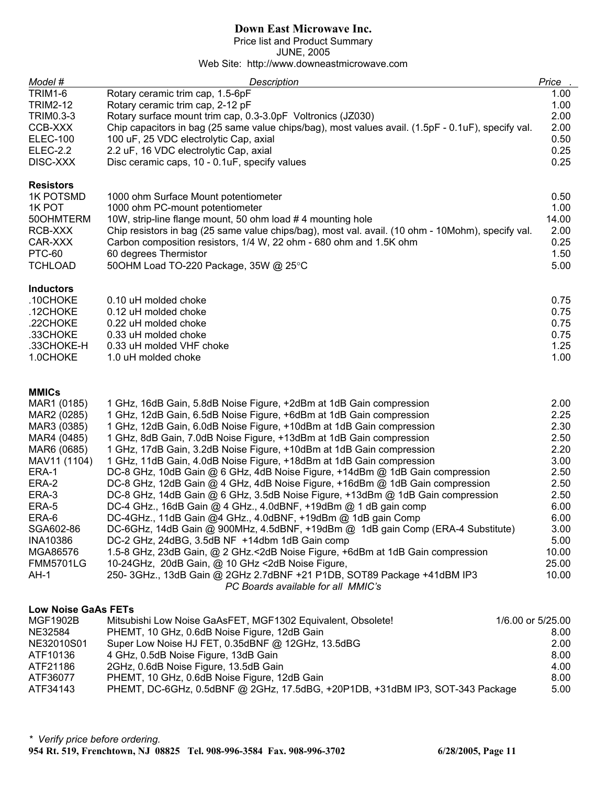Price list and Product Summary

## JUNE, 2005

| Model #                                                                                                       | Description                                                                                                                                                                                                                                                                                                                                                                        | Price                                                 |
|---------------------------------------------------------------------------------------------------------------|------------------------------------------------------------------------------------------------------------------------------------------------------------------------------------------------------------------------------------------------------------------------------------------------------------------------------------------------------------------------------------|-------------------------------------------------------|
| TRIM1-6                                                                                                       | Rotary ceramic trim cap, 1.5-6pF                                                                                                                                                                                                                                                                                                                                                   | 1.00                                                  |
| <b>TRIM2-12</b>                                                                                               | Rotary ceramic trim cap, 2-12 pF                                                                                                                                                                                                                                                                                                                                                   | 1.00                                                  |
| <b>TRIM0.3-3</b>                                                                                              | Rotary surface mount trim cap, 0.3-3.0pF Voltronics (JZ030)                                                                                                                                                                                                                                                                                                                        | 2.00                                                  |
| CCB-XXX                                                                                                       | Chip capacitors in bag (25 same value chips/bag), most values avail. (1.5pF - 0.1uF), specify val.                                                                                                                                                                                                                                                                                 | 2.00                                                  |
| <b>ELEC-100</b>                                                                                               | 100 uF, 25 VDC electrolytic Cap, axial                                                                                                                                                                                                                                                                                                                                             | 0.50                                                  |
| <b>ELEC-2.2</b>                                                                                               | 2.2 uF, 16 VDC electrolytic Cap, axial                                                                                                                                                                                                                                                                                                                                             | 0.25                                                  |
| DISC-XXX                                                                                                      | Disc ceramic caps, 10 - 0.1uF, specify values                                                                                                                                                                                                                                                                                                                                      | 0.25                                                  |
| <b>Resistors</b><br><b>1K POTSMD</b><br>1K POT<br>50OHMTERM<br>RCB-XXX<br>CAR-XXX<br>PTC-60<br><b>TCHLOAD</b> | 1000 ohm Surface Mount potentiometer<br>1000 ohm PC-mount potentiometer<br>10W, strip-line flange mount, 50 ohm load #4 mounting hole<br>Chip resistors in bag (25 same value chips/bag), most val. avail. (10 ohm - 10Mohm), specify val.<br>Carbon composition resistors, 1/4 W, 22 ohm - 680 ohm and 1.5K ohm<br>60 degrees Thermistor<br>50OHM Load TO-220 Package, 35W @ 25°C | 0.50<br>1.00<br>14.00<br>2.00<br>0.25<br>1.50<br>5.00 |
| <b>Inductors</b>                                                                                              |                                                                                                                                                                                                                                                                                                                                                                                    |                                                       |
| .10CHOKE                                                                                                      | 0.10 uH molded choke                                                                                                                                                                                                                                                                                                                                                               | 0.75                                                  |
| .12CHOKE                                                                                                      | 0.12 uH molded choke                                                                                                                                                                                                                                                                                                                                                               | 0.75                                                  |
| .22CHOKE<br>.33CHOKE                                                                                          | 0.22 uH molded choke                                                                                                                                                                                                                                                                                                                                                               | 0.75                                                  |
| .33CHOKE-H                                                                                                    | 0.33 uH molded choke<br>0.33 uH molded VHF choke                                                                                                                                                                                                                                                                                                                                   | 0.75<br>1.25                                          |
| 1.0CHOKE                                                                                                      | 1.0 uH molded choke                                                                                                                                                                                                                                                                                                                                                                | 1.00                                                  |
|                                                                                                               |                                                                                                                                                                                                                                                                                                                                                                                    |                                                       |
| <b>MMICs</b>                                                                                                  |                                                                                                                                                                                                                                                                                                                                                                                    |                                                       |
| MAR1 (0185)                                                                                                   | 1 GHz, 16dB Gain, 5.8dB Noise Figure, +2dBm at 1dB Gain compression                                                                                                                                                                                                                                                                                                                | 2.00                                                  |
| MAR2 (0285)                                                                                                   | 1 GHz, 12dB Gain, 6.5dB Noise Figure, +6dBm at 1dB Gain compression                                                                                                                                                                                                                                                                                                                | 2.25                                                  |
| MAR3 (0385)                                                                                                   | 1 GHz, 12dB Gain, 6.0dB Noise Figure, +10dBm at 1dB Gain compression                                                                                                                                                                                                                                                                                                               | 2.30                                                  |
| MAR4 (0485)                                                                                                   | 1 GHz, 8dB Gain, 7.0dB Noise Figure, +13dBm at 1dB Gain compression                                                                                                                                                                                                                                                                                                                | 2.50                                                  |
| MAR6 (0685)                                                                                                   | 1 GHz, 17dB Gain, 3.2dB Noise Figure, +10dBm at 1dB Gain compression                                                                                                                                                                                                                                                                                                               | 2.20                                                  |
| MAV11 (1104)                                                                                                  | 1 GHz, 11dB Gain, 4.0dB Noise Figure, +18dBm at 1dB Gain compression                                                                                                                                                                                                                                                                                                               | 3.00                                                  |
| ERA-1<br>ERA-2                                                                                                | DC-8 GHz, 10dB Gain @ 6 GHz, 4dB Noise Figure, +14dBm @ 1dB Gain compression<br>DC-8 GHz, 12dB Gain @ 4 GHz, 4dB Noise Figure, +16dBm @ 1dB Gain compression                                                                                                                                                                                                                       | 2.50<br>2.50                                          |
| ERA-3                                                                                                         | DC-8 GHz, 14dB Gain @ 6 GHz, 3.5dB Noise Figure, +13dBm @ 1dB Gain compression                                                                                                                                                                                                                                                                                                     | 2.50                                                  |
| ERA-5                                                                                                         | DC-4 GHz., 16dB Gain @ 4 GHz., 4.0dBNF, +19dBm @ 1 dB gain comp                                                                                                                                                                                                                                                                                                                    | 6.00                                                  |
| ERA-6                                                                                                         | DC-4GHz., 11dB Gain @4 GHz., 4.0dBNF, +19dBm @ 1dB gain Comp                                                                                                                                                                                                                                                                                                                       | 6.00                                                  |
| SGA602-86                                                                                                     | DC-6GHz, 14dB Gain @ 900MHz, 4.5dBNF, +19dBm @ 1dB gain Comp (ERA-4 Substitute)                                                                                                                                                                                                                                                                                                    | 3.00                                                  |
| <b>INA10386</b>                                                                                               | DC-2 GHz, 24dBG, 3.5dB NF +14dbm 1dB Gain comp                                                                                                                                                                                                                                                                                                                                     | 5.00                                                  |
| MGA86576                                                                                                      | 1.5-8 GHz, 23dB Gain, @ 2 GHz.<2dB Noise Figure, +6dBm at 1dB Gain compression                                                                                                                                                                                                                                                                                                     | 10.00                                                 |
| <b>FMM5701LG</b>                                                                                              | 10-24GHz, 20dB Gain, @ 10 GHz < 2dB Noise Figure,                                                                                                                                                                                                                                                                                                                                  | 25.00                                                 |
| $AH-1$                                                                                                        | 250- 3GHz., 13dB Gain @ 2GHz 2.7dBNF +21 P1DB, SOT89 Package +41dBM IP3                                                                                                                                                                                                                                                                                                            | 10.00                                                 |
|                                                                                                               | PC Boards available for all MMIC's                                                                                                                                                                                                                                                                                                                                                 |                                                       |
| <b>Low Noise GaAs FETs</b>                                                                                    |                                                                                                                                                                                                                                                                                                                                                                                    |                                                       |
| <b>MGF1902B</b>                                                                                               | Mitsubishi Low Noise GaAsFET, MGF1302 Equivalent, Obsolete!                                                                                                                                                                                                                                                                                                                        | 1/6.00 or 5/25.00                                     |
| NE32584                                                                                                       | PHEMT, 10 GHz, 0.6dB Noise Figure, 12dB Gain                                                                                                                                                                                                                                                                                                                                       | 8.00                                                  |
| NE32010S01                                                                                                    | Super Low Noise HJ FET, 0.35dBNF @ 12GHz, 13.5dBG                                                                                                                                                                                                                                                                                                                                  | 2.00                                                  |
| ATF10136                                                                                                      | 4 GHz, 0.5dB Noise Figure, 13dB Gain                                                                                                                                                                                                                                                                                                                                               | 8.00                                                  |
| ATF21186                                                                                                      | 2GHz, 0.6dB Noise Figure, 13.5dB Gain                                                                                                                                                                                                                                                                                                                                              | 4.00                                                  |
| ATF36077                                                                                                      | PHEMT, 10 GHz, 0.6dB Noise Figure, 12dB Gain                                                                                                                                                                                                                                                                                                                                       | 8.00                                                  |
| ATF34143                                                                                                      | PHEMT, DC-6GHz, 0.5dBNF @ 2GHz, 17.5dBG, +20P1DB, +31dBM IP3, SOT-343 Package                                                                                                                                                                                                                                                                                                      | 5.00                                                  |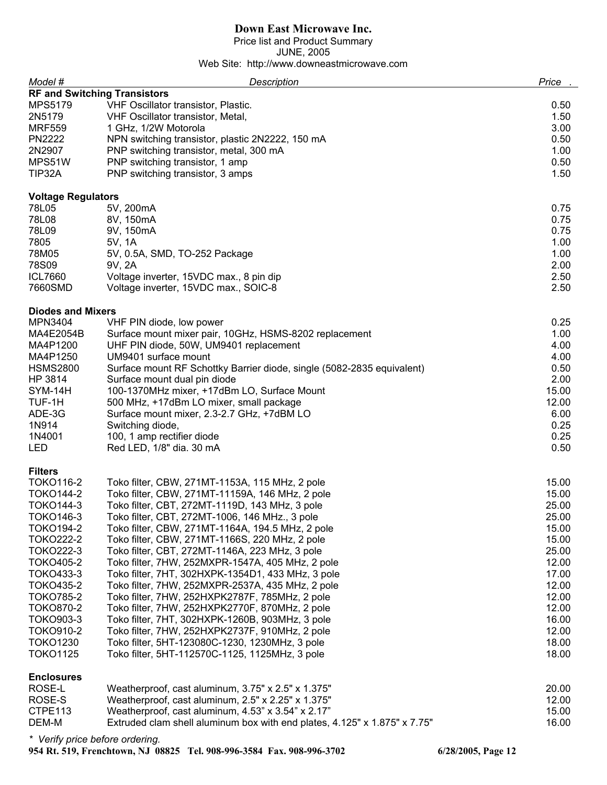### Price list and Product Summary

## JUNE, 2005

### Web Site: http://www.downeastmicrowave.com

| Model #                                    | Description                                                                                            | Price          |
|--------------------------------------------|--------------------------------------------------------------------------------------------------------|----------------|
| <b>RF and Switching Transistors</b>        |                                                                                                        |                |
| <b>MPS5179</b>                             | VHF Oscillator transistor, Plastic.                                                                    | 0.50           |
| 2N5179                                     | VHF Oscillator transistor, Metal,                                                                      | 1.50           |
| <b>MRF559</b>                              | 1 GHz, 1/2W Motorola                                                                                   | 3.00           |
| <b>PN2222</b>                              | NPN switching transistor, plastic 2N2222, 150 mA                                                       | 0.50           |
| 2N2907                                     | PNP switching transistor, metal, 300 mA                                                                | 1.00           |
| MPS51W                                     | PNP switching transistor, 1 amp                                                                        | 0.50           |
| TIP32A                                     | PNP switching transistor, 3 amps                                                                       | 1.50           |
| <b>Voltage Regulators</b>                  |                                                                                                        |                |
| 78L05                                      | 5V, 200mA                                                                                              | 0.75           |
| 78L08                                      | 8V, 150mA                                                                                              | 0.75           |
| 78L09                                      | 9V, 150mA                                                                                              | 0.75           |
| 7805                                       | 5V, 1A                                                                                                 | 1.00           |
| 78M05                                      | 5V, 0.5A, SMD, TO-252 Package                                                                          | 1.00           |
| 78S09                                      | 9V, 2A                                                                                                 | 2.00           |
| <b>ICL7660</b>                             | Voltage inverter, 15VDC max., 8 pin dip                                                                | 2.50           |
| 7660SMD                                    | Voltage inverter, 15VDC max., SOIC-8                                                                   | 2.50           |
|                                            |                                                                                                        |                |
| <b>Diodes and Mixers</b><br><b>MPN3404</b> |                                                                                                        | 0.25           |
|                                            | VHF PIN diode, low power                                                                               |                |
| MA4E2054B                                  | Surface mount mixer pair, 10GHz, HSMS-8202 replacement                                                 | 1.00           |
| MA4P1200<br>MA4P1250                       | UHF PIN diode, 50W, UM9401 replacement<br>UM9401 surface mount                                         | 4.00<br>4.00   |
| <b>HSMS2800</b>                            |                                                                                                        | 0.50           |
| HP 3814                                    | Surface mount RF Schottky Barrier diode, single (5082-2835 equivalent)<br>Surface mount dual pin diode | 2.00           |
| SYM-14H                                    | 100-1370MHz mixer, +17dBm LO, Surface Mount                                                            | 15.00          |
| TUF-1H                                     | 500 MHz, +17dBm LO mixer, small package                                                                | 12.00          |
| ADE-3G                                     | Surface mount mixer, 2.3-2.7 GHz, +7dBM LO                                                             | 6.00           |
| 1N914                                      | Switching diode,                                                                                       | 0.25           |
| 1N4001                                     | 100, 1 amp rectifier diode                                                                             | 0.25           |
| <b>LED</b>                                 | Red LED, 1/8" dia. 30 mA                                                                               | 0.50           |
|                                            |                                                                                                        |                |
| <b>Filters</b>                             |                                                                                                        |                |
| <b>TOKO116-2</b>                           | Toko filter, CBW, 271MT-1153A, 115 MHz, 2 pole                                                         | 15.00          |
| <b>TOKO144-2</b>                           | Toko filter, CBW, 271MT-11159A, 146 MHz, 2 pole                                                        | 15.00          |
| TOKO144-3                                  | Toko filter, CBT, 272MT-1119D, 143 MHz, 3 pole                                                         | 25.00          |
| TOKO146-3                                  | Toko filter, CBT, 272MT-1006, 146 MHz., 3 pole                                                         | 25.00          |
| <b>TOKO194-2</b>                           | Toko filter, CBW, 271MT-1164A, 194.5 MHz, 2 pole                                                       | 15.00          |
| <b>TOKO222-2</b>                           | Toko filter, CBW, 271MT-1166S, 220 MHz, 2 pole<br>Toko filter, CBT, 272MT-1146A, 223 MHz, 3 pole       | 15.00          |
| TOKO222-3<br>TOKO405-2                     | Toko filter, 7HW, 252MXPR-1547A, 405 MHz, 2 pole                                                       | 25.00<br>12.00 |
| TOKO433-3                                  | Toko filter, 7HT, 302HXPK-1354D1, 433 MHz, 3 pole                                                      | 17.00          |
| TOKO435-2                                  | Toko filter, 7HW, 252MXPR-2537A, 435 MHz, 2 pole                                                       | 12.00          |
| <b>TOKO785-2</b>                           | Toko filter, 7HW, 252HXPK2787F, 785MHz, 2 pole                                                         | 12.00          |
| <b>TOKO870-2</b>                           | Toko filter, 7HW, 252HXPK2770F, 870MHz, 2 pole                                                         | 12.00          |
| TOKO903-3                                  | Toko filter, 7HT, 302HXPK-1260B, 903MHz, 3 pole                                                        | 16.00          |
| TOKO910-2                                  | Toko filter, 7HW, 252HXPK2737F, 910MHz, 2 pole                                                         | 12.00          |
| <b>TOKO1230</b>                            | Toko filter, 5HT-123080C-1230, 1230MHz, 3 pole                                                         | 18.00          |
| <b>TOKO1125</b>                            | Toko filter, 5HT-112570C-1125, 1125MHz, 3 pole                                                         | 18.00          |
|                                            |                                                                                                        |                |
| <b>Enclosures</b>                          |                                                                                                        |                |
| ROSE-L                                     | Weatherproof, cast aluminum, 3.75" x 2.5" x 1.375"                                                     | 20.00          |
| ROSE-S                                     | Weatherproof, cast aluminum, 2.5" x 2.25" x 1.375"                                                     | 12.00          |
| CTPE113                                    | Weatherproof, cast aluminum, 4.53" x 3.54" x 2.17"                                                     | 15.00          |
| DEM-M                                      | Extruded clam shell aluminum box with end plates, 4.125" x 1.875" x 7.75"                              | 16.00          |
| * Verify price before ordering.            |                                                                                                        |                |

**954 Rt. 519, Frenchtown, NJ 08825 Tel. 908-996-3584 Fax. 908-996-3702 6/28/2005, Page 12**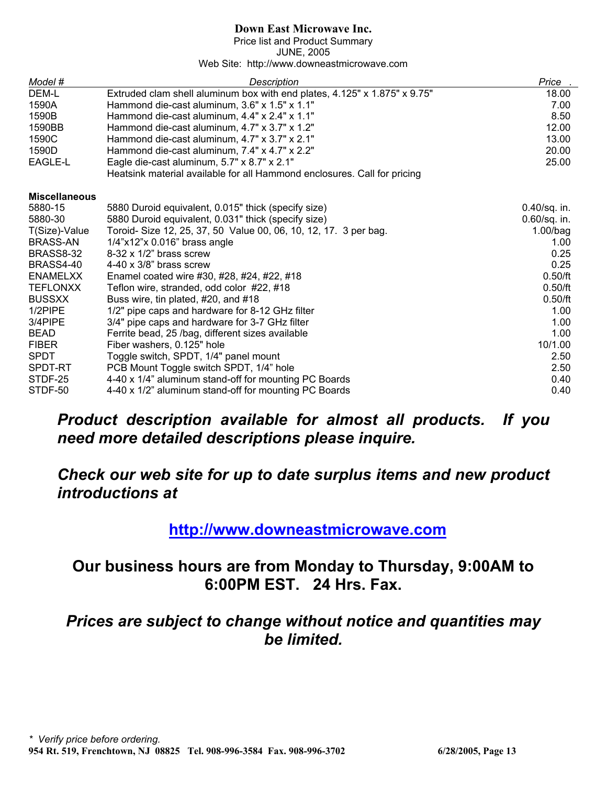Price list and Product Summary

JUNE, 2005

Web Site: http://www.downeastmicrowave.com

| Model #              | Description                                                               | Price.          |
|----------------------|---------------------------------------------------------------------------|-----------------|
| DEM-L                | Extruded clam shell aluminum box with end plates, 4.125" x 1.875" x 9.75" | 18.00           |
| 1590A                | Hammond die-cast aluminum, 3.6" x 1.5" x 1.1"                             | 7.00            |
| 1590B                | Hammond die-cast aluminum, 4.4" x 2.4" x 1.1"                             | 8.50            |
| 1590BB               | Hammond die-cast aluminum, 4.7" x 3.7" x 1.2"                             | 12.00           |
| 1590C                | Hammond die-cast aluminum, 4.7" x 3.7" x 2.1"                             | 13.00           |
| 1590D                | Hammond die-cast aluminum, 7.4" x 4.7" x 2.2"                             | 20.00           |
| EAGLE-L              | Eagle die-cast aluminum, 5.7" x 8.7" x 2.1"                               | 25.00           |
|                      | Heatsink material available for all Hammond enclosures. Call for pricing  |                 |
| <b>Miscellaneous</b> |                                                                           |                 |
| 5880-15              | 5880 Duroid equivalent, 0.015" thick (specify size)                       | $0.40$ /sq. in. |
| 5880-30              | 5880 Duroid equivalent, 0.031" thick (specify size)                       | $0.60$ /sq. in. |
| T(Size)-Value        | Toroid- Size 12, 25, 37, 50 Value 00, 06, 10, 12, 17. 3 per bag.          | 1.00/bag        |
| <b>BRASS-AN</b>      | $1/4$ "x $12$ "x 0.016" brass angle                                       | 1.00            |
| <b>BRASS8-32</b>     | $8-32 \times 1/2$ " brass screw                                           | 0.25            |
| BRASS4-40            | $4-40 \times 3/8$ " brass screw                                           | 0.25            |
| <b>ENAMELXX</b>      | Enamel coated wire #30, #28, #24, #22, #18                                | 0.50/ft         |
| <b>TEFLONXX</b>      | Teflon wire, stranded, odd color #22, #18                                 | 0.50/ft         |
| <b>BUSSXX</b>        | Buss wire, tin plated, #20, and #18                                       | 0.50/ft         |
| 1/2PIPE              | 1/2" pipe caps and hardware for 8-12 GHz filter                           | 1.00            |
| 3/4PIPE              | 3/4" pipe caps and hardware for 3-7 GHz filter                            | 1.00            |
| <b>BEAD</b>          | Ferrite bead, 25 /bag, different sizes available                          | 1.00            |
| <b>FIBER</b>         | Fiber washers, 0.125" hole                                                | 10/1.00         |
| <b>SPDT</b>          | Toggle switch, SPDT, 1/4" panel mount                                     | 2.50            |
| SPDT-RT              | PCB Mount Toggle switch SPDT, 1/4" hole                                   | 2.50            |
| STDF-25              | 4-40 x 1/4" aluminum stand-off for mounting PC Boards                     | 0.40            |
| STDF-50              | 4-40 x 1/2" aluminum stand-off for mounting PC Boards                     | 0.40            |

# *Product description available for almost all products. If you need more detailed descriptions please inquire.*

## *Check our web site for up to date surplus items and new product introductions at*

 **[http://www.downeastmicrowave.com](http://www.downeastmicrowave.com/)**

# **Our business hours are from Monday to Thursday, 9:00AM to 6:00PM EST. 24 Hrs. Fax.**

# *Prices are subject to change without notice and quantities may be limited.*